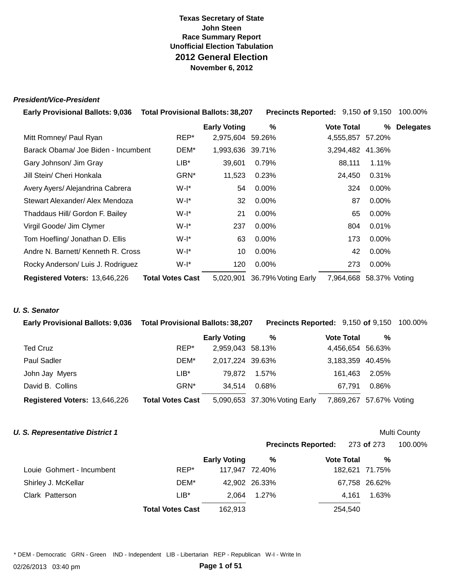### **President/Vice-President**

| Early Provisional Ballots: 9,036  Total Provisional Ballots: 38,207 |                         |                     | Precincts Reported: 9,150 of 9,150 |                   |               | 100.00%          |
|---------------------------------------------------------------------|-------------------------|---------------------|------------------------------------|-------------------|---------------|------------------|
|                                                                     |                         | <b>Early Voting</b> | %                                  | <b>Vote Total</b> | %             | <b>Delegates</b> |
| Mitt Romney/ Paul Ryan                                              | REP*                    | 2,975,604 59.26%    |                                    | 4,555,857         | 57.20%        |                  |
| Barack Obama/ Joe Biden - Incumbent                                 | DEM*                    | 1,993,636 39.71%    |                                    | 3,294,482 41.36%  |               |                  |
| Gary Johnson/ Jim Gray                                              | $LIB^*$                 | 39,601              | 0.79%                              | 88,111            | 1.11%         |                  |
| Jill Stein/ Cheri Honkala                                           | GRN*                    | 11,523              | 0.23%                              | 24,450            | 0.31%         |                  |
| Avery Ayers/ Alejandrina Cabrera                                    | W-I*                    | 54                  | $0.00\%$                           | 324               | $0.00\%$      |                  |
| Stewart Alexander/ Alex Mendoza                                     | W-I*                    | 32                  | $0.00\%$                           | 87                | $0.00\%$      |                  |
| Thaddaus Hill/ Gordon F. Bailey                                     | W-I*                    | 21                  | $0.00\%$                           | 65                | 0.00%         |                  |
| Virgil Goode/ Jim Clymer                                            | W-I*                    | 237                 | $0.00\%$                           | 804               | 0.01%         |                  |
| Tom Hoefling/ Jonathan D. Ellis                                     | W-I*                    | 63                  | $0.00\%$                           | 173               | $0.00\%$      |                  |
| Andre N. Barnett/ Kenneth R. Cross                                  | W-I*                    | 10                  | $0.00\%$                           | 42                | 0.00%         |                  |
| Rocky Anderson/ Luis J. Rodriguez                                   | $W-I^*$                 | 120                 | $0.00\%$                           | 273               | $0.00\%$      |                  |
| Registered Voters: 13,646,226                                       | <b>Total Votes Cast</b> | 5,020,901           | 36.79% Voting Early                | 7,964,668         | 58.37% Voting |                  |

### **U. S. Senator**

| <b>Early Provisional Ballots: 9,036</b> | <b>Total Provisional Ballots: 38,207</b> |                     | <b>Precincts Reported: 9,150 of 9,150 100.00%</b> |                   |               |  |
|-----------------------------------------|------------------------------------------|---------------------|---------------------------------------------------|-------------------|---------------|--|
|                                         |                                          | <b>Early Voting</b> | %                                                 | <b>Vote Total</b> | %             |  |
| <b>Ted Cruz</b>                         | REP*                                     | 2,959,043 58.13%    |                                                   | 4,456,654 56.63%  |               |  |
| <b>Paul Sadler</b>                      | DEM*                                     | 2,017,224 39.63%    |                                                   | 3,183,359 40.45%  |               |  |
| John Jay Myers                          | LIB*                                     | 79.872              | 1.57%                                             | 161.463           | 2.05%         |  |
| David B. Collins                        | GRN*                                     | 34.514              | 0.68%                                             | 67.791            | 0.86%         |  |
| Registered Voters: 13,646,226           | <b>Total Votes Cast</b>                  |                     | 5,090,653 37.30% Voting Early                     | 7,869,267         | 57.67% Voting |  |

### **U. S. Representative District 1**

### Multi County

|                           |                         |                     |               | Precincts Reported: 273 of 273 |                | 100.00% |
|---------------------------|-------------------------|---------------------|---------------|--------------------------------|----------------|---------|
|                           |                         | <b>Early Voting</b> | %             | <b>Vote Total</b>              | %              |         |
| Louie Gohmert - Incumbent | REP*                    | 117,947 72.40%      |               |                                | 182,621 71.75% |         |
| Shirley J. McKellar       | DEM*                    |                     | 42,902 26.33% |                                | 67,758 26.62%  |         |
| Clark Patterson           | LIB*                    | 2.064               | 1.27%         | 4.161                          | 1.63%          |         |
|                           | <b>Total Votes Cast</b> | 162.913             |               | 254.540                        |                |         |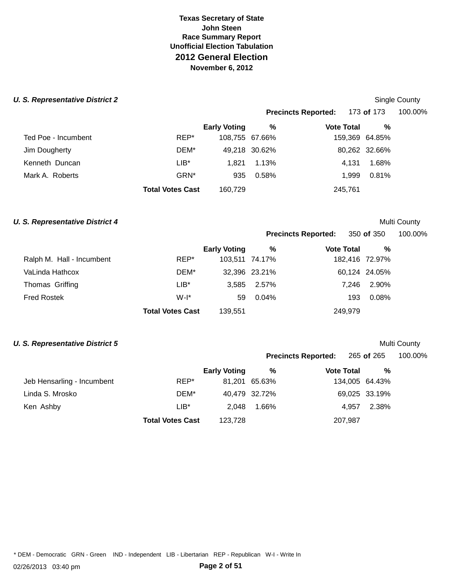# **Texas Secretary of State John Steen Race Summary Report Unofficial Election Tabulation 2012 General Election November 6, 2012**

### **U. S. Representative District 2 U. S. Representative District 2 Single County**

|                  | <b>Early Voting</b> | %                       |                                 | %     |                                                                                                                                    |
|------------------|---------------------|-------------------------|---------------------------------|-------|------------------------------------------------------------------------------------------------------------------------------------|
| REP*             |                     |                         |                                 |       |                                                                                                                                    |
| DEM*             |                     |                         |                                 |       |                                                                                                                                    |
| $LIB*$           | 1.821               | 1.13%                   |                                 | 1.68% |                                                                                                                                    |
| GRN <sup>*</sup> | 935                 | 0.58%                   |                                 | 0.81% |                                                                                                                                    |
|                  | 160,729             |                         |                                 |       |                                                                                                                                    |
|                  |                     | <b>Total Votes Cast</b> | 108,755 67.66%<br>49,218 30.62% |       | <b>Precincts Reported:</b> 173 of 173 100.00%<br><b>Vote Total</b><br>159,369 64.85%<br>80,262 32.66%<br>4.131<br>1.999<br>245,761 |

# **U. S. Representative District 4 Multi County Multi County Multi County**

| <b>Precincts Reported:</b> | 350 of 350        |   | 100.00% |
|----------------------------|-------------------|---|---------|
| %                          | <b>Vote Total</b> | % |         |

|                           |                         | <b>Early Voting</b> | %                | <b>Vote Total</b> | %             |
|---------------------------|-------------------------|---------------------|------------------|-------------------|---------------|
| Ralph M. Hall - Incumbent | REP*                    | 103,511 74.17%      |                  | 182,416 72.97%    |               |
| VaLinda Hathcox           | DEM*                    |                     | 32,396 23.21%    |                   | 60,124 24.05% |
| Thomas Griffing           | LIB*                    |                     | $3.585$ $2.57\%$ | 7.246             | 2.90%         |
| <b>Fred Rostek</b>        | $W-I^*$                 | 59                  | 0.04%            | 193               | 0.08%         |
|                           | <b>Total Votes Cast</b> | 139,551             |                  | 249.979           |               |

# **U. S. Representative District 5 Multi County Multi County Multi County**

|                            |                         |                     |               | Precincts Reported: 265 of 265 |                | 100.00% |
|----------------------------|-------------------------|---------------------|---------------|--------------------------------|----------------|---------|
|                            |                         | <b>Early Voting</b> | %             | <b>Vote Total</b>              | %              |         |
| Jeb Hensarling - Incumbent | REP*                    |                     | 81.201 65.63% |                                | 134,005 64.43% |         |
| Linda S. Mrosko            | DEM*                    |                     | 40,479 32.72% |                                | 69,025 33.19%  |         |
| Ken Ashby                  | $LIB^*$                 | 2.048               | 1.66%         |                                | 2.38%<br>4.957 |         |
|                            | <b>Total Votes Cast</b> | 123.728             |               | 207,987                        |                |         |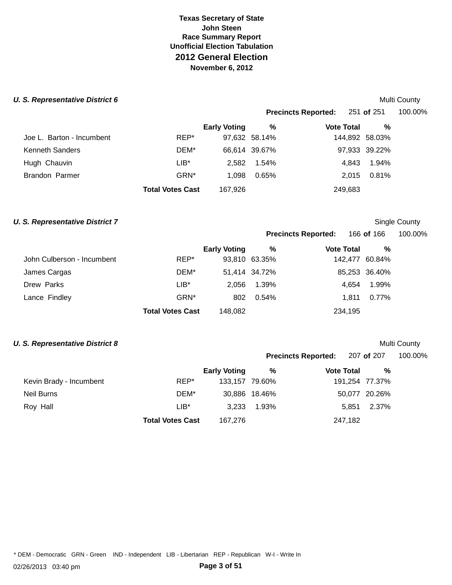# **Texas Secretary of State John Steen Race Summary Report Unofficial Election Tabulation 2012 General Election November 6, 2012**

### **U. S. Representative District 6 Multi County Multi County Multi County**

|                           |                         |                     |               | Precincts Reported: 251 of 251 |                | 100.00% |
|---------------------------|-------------------------|---------------------|---------------|--------------------------------|----------------|---------|
|                           |                         | <b>Early Voting</b> | $\%$          | <b>Vote Total</b>              | %              |         |
| Joe L. Barton - Incumbent | REP*                    |                     | 97,632 58.14% |                                | 144,892 58.03% |         |
| Kenneth Sanders           | DEM*                    |                     | 66,614 39.67% |                                | 97,933 39.22%  |         |
| Hugh Chauvin              | $LIB*$                  | 2,582               | 1.54%         |                                | 1.94%<br>4.843 |         |
| Brandon Parmer            | GRN <sup>*</sup>        | 1.098               | 0.65%         |                                | 0.81%<br>2.015 |         |
|                           | <b>Total Votes Cast</b> | 167,926             |               | 249,683                        |                |         |
|                           |                         |                     |               |                                |                |         |

### **U. S. Representative District 7 Single County County Single County Single County**

| <b>Precincts Reported:</b> | 166 <b>of</b> 166 | 100.00% |
|----------------------------|-------------------|---------|
|                            |                   |         |

|                            |                         | <b>Early Voting</b> | %             | <b>Vote Total</b> | $\frac{9}{6}$ |
|----------------------------|-------------------------|---------------------|---------------|-------------------|---------------|
| John Culberson - Incumbent | REP*                    |                     | 93,810 63.35% | 142,477 60.84%    |               |
| James Cargas               | DEM*                    |                     | 51,414 34.72% |                   | 85,253 36.40% |
| Drew Parks                 | $LIB*$                  | 2.056               | 1.39%         | 4.654             | 1.99%         |
| Lance Findley              | GRN <sup>*</sup>        | 802                 | $0.54\%$      | 1.811             | 0.77%         |
|                            | <b>Total Votes Cast</b> | 148,082             |               | 234,195           |               |

### **U. S. Representative District 8 Multi County Multi County Multi County**

|                         |                     |       |                                 |                                       | 100.00%                                                           |
|-------------------------|---------------------|-------|---------------------------------|---------------------------------------|-------------------------------------------------------------------|
|                         | <b>Early Voting</b> | %     |                                 | %                                     |                                                                   |
| REP*                    |                     |       |                                 |                                       |                                                                   |
| DEM*                    |                     |       |                                 |                                       |                                                                   |
| $LIB^*$                 | 3.233               | 1.93% |                                 | 2.37%                                 |                                                                   |
| <b>Total Votes Cast</b> | 167,276             |       |                                 |                                       |                                                                   |
|                         |                     |       | 133.157 79.60%<br>30,886 18.46% | <b>Vote Total</b><br>5.851<br>247,182 | Precincts Reported: 207 of 207<br>191,254 77.37%<br>50,077 20.26% |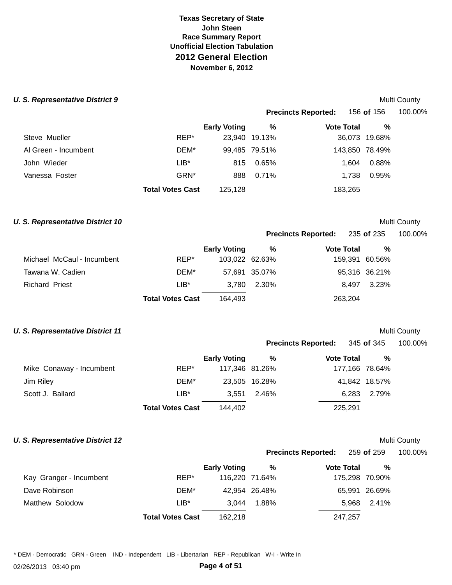# **Texas Secretary of State John Steen Race Summary Report Unofficial Election Tabulation 2012 General Election November 6, 2012**

### **U. S. Representative District 9** *U. S. Representative District 9*

|                      |                         |                     |               | <b>Precincts Reported:</b> | 156 <b>of</b> 156 | 100.00% |
|----------------------|-------------------------|---------------------|---------------|----------------------------|-------------------|---------|
|                      |                         | <b>Early Voting</b> | %             | <b>Vote Total</b>          | %                 |         |
| Steve Mueller        | REP*                    |                     | 23,940 19.13% |                            | 36,073 19.68%     |         |
| Al Green - Incumbent | DEM*                    |                     | 99,485 79.51% |                            | 143,850 78.49%    |         |
| John Wieder          | $LIB*$                  | 815                 | 0.65%         | 1.604                      | 0.88%             |         |
| Vanessa Foster       | GRN <sup>*</sup>        | 888                 | 0.71%         | 1.738                      | 0.95%             |         |
|                      | <b>Total Votes Cast</b> | 125,128             |               | 183,265                    |                   |         |
|                      |                         |                     |               |                            |                   |         |

### **U. S. Representative District 10 Multi County Multi County Multi County**

|                            |                         | <b>Early Voting</b> | %             | <b>Vote Total</b> | %             |
|----------------------------|-------------------------|---------------------|---------------|-------------------|---------------|
| Michael McCaul - Incumbent | REP*                    | 103,022 62.63%      |               | 159,391 60.56%    |               |
| Tawana W. Cadien           | DEM*                    |                     | 57,691 35.07% |                   | 95,316 36.21% |
| Richard Priest             | $LIB*$                  | 3.780               | 2.30%         | 8.497             | 3.23%         |
|                            | <b>Total Votes Cast</b> | 164.493             |               | 263,204           |               |

### **U. S. Representative District 11 Multi County** *Multi County*

| <b>Precincts Reported:</b> | 345 of 345 | 100.00% |
|----------------------------|------------|---------|
|----------------------------|------------|---------|

**Precincts Reported:** 259 **of** 259 100.00%

**Precincts Reported:** 235 **of** 235 100.00%

|                          |                         | <b>Early Voting</b> | %             | <b>Vote Total</b> | %             |
|--------------------------|-------------------------|---------------------|---------------|-------------------|---------------|
| Mike Conaway - Incumbent | REP*                    | 117,346 81.26%      |               | 177,166 78.64%    |               |
| Jim Riley                | DEM*                    |                     | 23,505 16.28% |                   | 41,842 18.57% |
| Scott J. Ballard         | $LIB*$                  | 3.551               | 2.46%         | 6.283             | 2.79%         |
|                          | <b>Total Votes Cast</b> | 144.402             |               | 225,291           |               |

# **U. S. Representative District 12 Multi County** *Multi County* **Multi County**

|                         |                         | <b>Early Voting</b> | %              | <b>Vote Total</b> | %              |  |
|-------------------------|-------------------------|---------------------|----------------|-------------------|----------------|--|
| Kay Granger - Incumbent | REP*                    |                     | 116,220 71.64% |                   | 175,298 70.90% |  |
| Dave Robinson           | DEM*                    |                     | 42,954 26.48%  |                   | 65,991 26.69%  |  |
| Matthew Solodow         | $LIB*$                  | 3.044               | 1.88%          |                   | 5.968 2.41%    |  |
|                         | <b>Total Votes Cast</b> | 162.218             |                | 247,257           |                |  |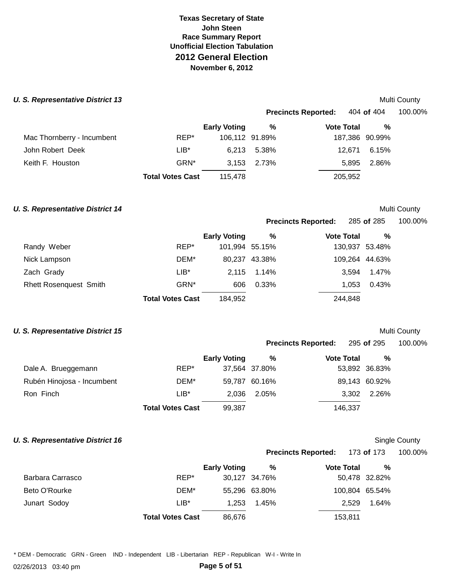### **U. S. Representative District 13**

|                            |                         |                     |                | <b>Precincts Reported:</b> | 404 <b>of</b> 404 | 100.00% |
|----------------------------|-------------------------|---------------------|----------------|----------------------------|-------------------|---------|
|                            |                         | <b>Early Voting</b> | %              | <b>Vote Total</b>          | %                 |         |
| Mac Thornberry - Incumbent | REP*                    |                     | 106,112 91.89% |                            | 187,386 90.99%    |         |
| John Robert Deek           | $LIB*$                  | 6.213               | 5.38%          | 12.671                     | 6.15%             |         |
| Keith F. Houston           | GRN*                    | 3.153               | 2.73%          | 5.895                      | 2.86%             |         |
|                            | <b>Total Votes Cast</b> | 115,478             |                | 205,952                    |                   |         |

### **U. S. Representative District 14**

### Multi County

Multi County

**Precincts Reported:**  285 **of** 285 100.00%

|  |  |  | 100.00% |  |
|--|--|--|---------|--|
|  |  |  |         |  |

|                        |                         | <b>Early Voting</b> | %             | <b>Vote Total</b> | $\%$           |  |
|------------------------|-------------------------|---------------------|---------------|-------------------|----------------|--|
| Randy Weber            | REP*                    | 101,994 55.15%      |               |                   | 130,937 53.48% |  |
| Nick Lampson           | DEM*                    |                     | 80,237 43.38% |                   | 109,264 44.63% |  |
| Zach Grady             | $LIB^*$                 | 2.115               | 1.14%         | 3.594             | 1.47%          |  |
| Rhett Rosenquest Smith | GRN <sup>*</sup>        | 606                 | 0.33%         | 1.053             | 0.43%          |  |
|                        | <b>Total Votes Cast</b> | 184,952             |               | 244,848           |                |  |
|                        |                         |                     |               |                   |                |  |

### **U. S. Representative District 15**

# Multi County

|                            |         |                     |               | <b>Precincts Reported:</b> | 295 <b>of</b> 295 | 100.00% |
|----------------------------|---------|---------------------|---------------|----------------------------|-------------------|---------|
|                            |         | <b>Early Voting</b> | %             | <b>Vote Total</b>          | %                 |         |
| Dale A. Brueggemann        | REP*    |                     | 37,564 37.80% |                            | 53,892 36.83%     |         |
| Rubén Hinojosa - Incumbent | DEM*    |                     | 59,787 60.16% |                            | 89,143 60.92%     |         |
| Ron Finch                  | $LIB^*$ | 2,036               | 2.05%         | 3,302                      | 2.26%             |         |

**Total Votes Cast** 99,387 146,337

# **U. S. Representative District 16**

# Single County

| <b>Precincts Reported:</b> | 173 of 173 | 100.00% |
|----------------------------|------------|---------|
|                            |            |         |

|                  |                         | <b>Early Voting</b> | ℅             | <b>Vote Total</b> | %             |
|------------------|-------------------------|---------------------|---------------|-------------------|---------------|
| Barbara Carrasco | REP*                    |                     | 30,127 34.76% |                   | 50,478 32.82% |
| Beto O'Rourke    | DEM*                    |                     | 55,296 63.80% | 100,804 65.54%    |               |
| Junart Sodoy     | $LIB*$                  | 1.253               | 1.45%         | 2.529             | 1.64%         |
|                  | <b>Total Votes Cast</b> | 86,676              |               | 153,811           |               |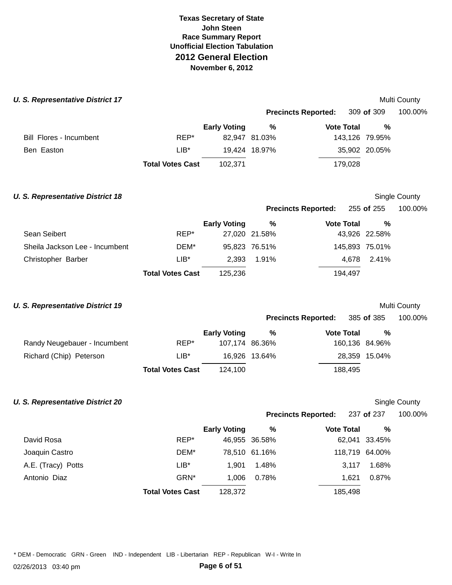### **U. S. Representative District 17 Multi County** *Multi County* **Multi County**

|                         |                         |                     |               | <b>Precincts Reported:</b> | 309 of 309     | 100.00% |
|-------------------------|-------------------------|---------------------|---------------|----------------------------|----------------|---------|
|                         |                         | <b>Early Voting</b> | %             | <b>Vote Total</b>          | %              |         |
| Bill Flores - Incumbent | REP*                    |                     | 82,947 81.03% |                            | 143,126 79.95% |         |
| Ben Easton              | $LIB^*$                 |                     | 19,424 18.97% |                            | 35,902 20.05%  |         |
|                         | <b>Total Votes Cast</b> | 102.371             |               | 179.028                    |                |         |

| U. S. Representative District 18 |                         |                     |               |                            |                | Single County |
|----------------------------------|-------------------------|---------------------|---------------|----------------------------|----------------|---------------|
|                                  |                         |                     |               | <b>Precincts Reported:</b> | 255 of 255     | 100.00%       |
|                                  |                         | <b>Early Voting</b> | %             | <b>Vote Total</b>          | %              |               |
| Sean Seibert                     | REP*                    |                     | 27,020 21.58% |                            | 43,926 22.58%  |               |
| Sheila Jackson Lee - Incumbent   | DEM*                    |                     | 95,823 76.51% |                            | 145,893 75.01% |               |
| Christopher Barber               | LIB*                    | 2.393               | 1.91%         | 4.678                      | 2.41%          |               |
|                                  | <b>Total Votes Cast</b> | 125.236             |               | 194,497                    |                |               |

### **U. S. Representative District 19 Multi County** *Multi County* **Multi County**

|                              |                         |                     |               | <b>Precincts Reported:</b> | 385 of 385     | 100.00% |
|------------------------------|-------------------------|---------------------|---------------|----------------------------|----------------|---------|
|                              |                         | <b>Early Voting</b> | %             | <b>Vote Total</b>          | %              |         |
| Randy Neugebauer - Incumbent | REP*                    | 107,174 86.36%      |               |                            | 160,136 84.96% |         |
| Richard (Chip) Peterson      | LIB*                    |                     | 16,926 13.64% |                            | 28,359 15.04%  |         |
|                              | <b>Total Votes Cast</b> | 124.100             |               | 188,495                    |                |         |

### **U. S. Representative District 20 Single County County County County County County Single County Single County**

| <b>Precincts Reported:</b> | 237 of 237 | 100.00% |
|----------------------------|------------|---------|

|                    |                         | <b>Early Voting</b> | %             | <b>Vote Total</b> | %              |
|--------------------|-------------------------|---------------------|---------------|-------------------|----------------|
| David Rosa         | REP*                    |                     | 46,955 36.58% |                   | 62,041 33.45%  |
| Joaquin Castro     | DEM*                    |                     | 78,510 61.16% |                   | 118,719 64.00% |
| A.E. (Tracy) Potts | $LIB*$                  | 1.901               | 1.48%         | 3.117             | 1.68%          |
| Antonio Diaz       | GRN*                    | 1,006               | 0.78%         | 1.621             | 0.87%          |
|                    | <b>Total Votes Cast</b> | 128.372             |               | 185.498           |                |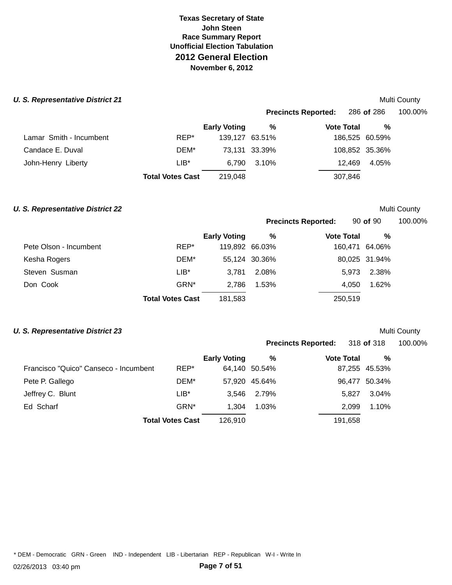### **U. S. Representative District 21**

|                         |                         | <b>Precincts Reported:</b> |               |                   | 286 of 286     | 100.00% |
|-------------------------|-------------------------|----------------------------|---------------|-------------------|----------------|---------|
|                         |                         | <b>Early Voting</b>        | %             | <b>Vote Total</b> | %              |         |
| Lamar Smith - Incumbent | REP*                    | 139,127 63.51%             |               |                   | 186,525 60.59% |         |
| Candace E. Duval        | DEM*                    |                            | 73,131 33.39% |                   | 108,852 35.36% |         |
| John-Henry Liberty      | $LIB*$                  | 6.790                      | 3.10%         | 12.469            | 4.05%          |         |
|                         | <b>Total Votes Cast</b> | 219,048                    |               | 307,846           |                |         |

### **U. S. Representative District 22** *CONDUCTER CONDUCTER COUNTY* **Multi County**

Multi County

**Precincts Reported:** 90 **of** 90 100.00%

|                        |                         | <b>Early Voting</b> | %              | <b>Vote Total</b> | $\%$          |  |
|------------------------|-------------------------|---------------------|----------------|-------------------|---------------|--|
| Pete Olson - Incumbent | REP*                    |                     | 119,892 66.03% | 160,471 64.06%    |               |  |
| Kesha Rogers           | DEM*                    |                     | 55,124 30.36%  |                   | 80,025 31.94% |  |
| Steven Susman          | LIB*                    | 3.781               | 2.08%          | 5.973             | 2.38%         |  |
| Don Cook               | GRN*                    | 2.786               | 1.53%          | 4.050             | 1.62%         |  |
|                        | <b>Total Votes Cast</b> | 181,583             |                | 250,519           |               |  |

### **U. S. Representative District 23** *Depresentative District 23 Multi County* **<b>***Multi County*

| <b>Precincts Reported:</b> | 318 of 318 | 100.00% |
|----------------------------|------------|---------|
|                            |            |         |

|                                       |                         | <b>Early Voting</b> | %             | <b>Vote Total</b> | %             |
|---------------------------------------|-------------------------|---------------------|---------------|-------------------|---------------|
| Francisco "Quico" Canseco - Incumbent | REP*                    |                     | 64,140 50.54% |                   | 87,255 45.53% |
| Pete P. Gallego                       | DEM*                    |                     | 57,920 45.64% |                   | 96,477 50.34% |
| Jeffrey C. Blunt                      | $LIB*$                  | 3.546               | 2.79%         | 5.827             | 3.04%         |
| Ed Scharf                             | GRN*                    | 1.304               | 1.03%         | 2.099             | 1.10%         |
|                                       | <b>Total Votes Cast</b> | 126.910             |               | 191,658           |               |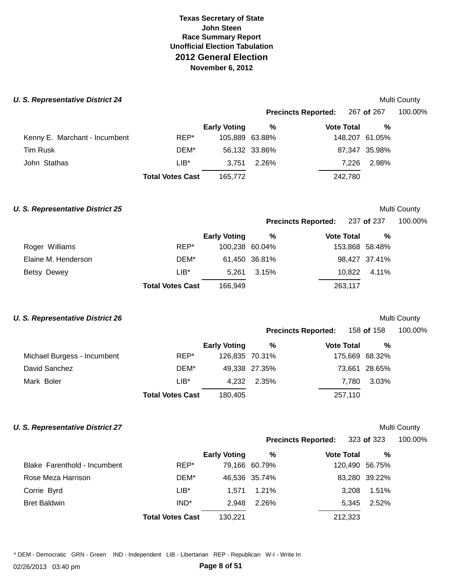### **U. S. Representative District 24**

|                               |                         |                     | <b>Precincts Reported:</b> |                   | 267 <b>of</b> 267 | 100.00% |  |
|-------------------------------|-------------------------|---------------------|----------------------------|-------------------|-------------------|---------|--|
|                               |                         | <b>Early Voting</b> | %                          | <b>Vote Total</b> | %                 |         |  |
| Kenny E. Marchant - Incumbent | REP*                    | 105,889 63.88%      |                            |                   | 148,207 61.05%    |         |  |
| <b>Tim Rusk</b>               | DEM*                    |                     | 56,132 33.86%              |                   | 87,347 35.98%     |         |  |
| John Stathas                  | $LIB*$                  | 3.751               | 2.26%                      | 7.226             | 2.98%             |         |  |
|                               | <b>Total Votes Cast</b> | 165,772             |                            | 242,780           |                   |         |  |

### **U. S. Representative District 25**

# Multi County

Multi County

**Precincts Reported:**  237 **of** 237 100.00%

|  |  | TUU.UU% |
|--|--|---------|
|  |  |         |

|                     |                         | <b>Early Voting</b> | %             | <b>Vote Total</b> | %              |
|---------------------|-------------------------|---------------------|---------------|-------------------|----------------|
| Roger Williams      | REP*                    | 100,238 60.04%      |               |                   | 153,868 58.48% |
| Elaine M. Henderson | DEM*                    |                     | 61,450 36.81% |                   | 98,427 37.41%  |
| Betsy Dewey         | $LIB*$                  | 5.261               | 3.15%         |                   | 10.822 4.11%   |
|                     | <b>Total Votes Cast</b> | 166,949             |               | 263,117           |                |

### **U. S. Representative District 26**

# Multi County

|                             |                         | <b>Precincts Reported:</b> |               |                   | 158 <b>of</b> 158 | 100.00% |  |
|-----------------------------|-------------------------|----------------------------|---------------|-------------------|-------------------|---------|--|
|                             |                         | <b>Early Voting</b>        | %             | <b>Vote Total</b> | %                 |         |  |
| Michael Burgess - Incumbent | REP*                    | 126,835 70.31%             |               |                   | 175,669 68.32%    |         |  |
| David Sanchez               | DEM*                    |                            | 49,338 27.35% |                   | 73,661 28.65%     |         |  |
| Mark Boler                  | $LIB*$                  | 4.232                      | 2.35%         | 7.780             | 3.03%             |         |  |
|                             | <b>Total Votes Cast</b> | 180,405                    |               | 257,110           |                   |         |  |

### **U. S. Representative District 27**

# Multi County

### **Precincts Reported:**  323 **of** 323 100.00%

|                              |                         | <b>Early Voting</b> | %             | <b>Vote Total</b> | %             |
|------------------------------|-------------------------|---------------------|---------------|-------------------|---------------|
| Blake Farenthold - Incumbent | REP*                    |                     | 79,166 60.79% | 120,490 56.75%    |               |
| Rose Meza Harrison           | DEM*                    |                     | 46,536 35.74% |                   | 83,280 39.22% |
| Corrie Byrd                  | $LIB^*$                 | 1.571               | $1.21\%$      |                   | 3,208 1.51%   |
| <b>Bret Baldwin</b>          | IND <sup>*</sup>        | 2.948               | 2.26%         | 5.345             | 2.52%         |
|                              | <b>Total Votes Cast</b> | 130,221             |               | 212,323           |               |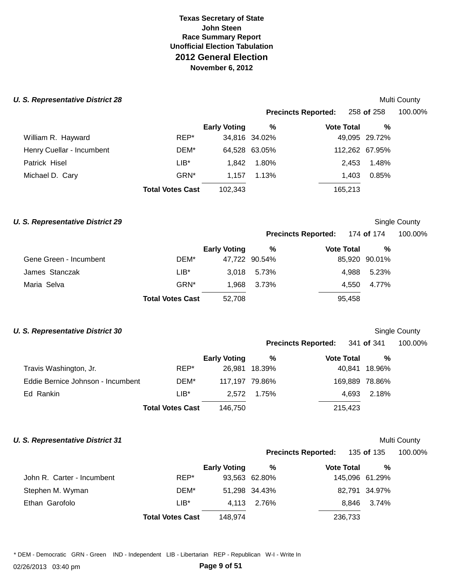### **U. S. Representative District 28**

|                           |                         |                     | <b>Precincts Reported:</b> |  |                   | 258 of 258     | 100.00% |  |
|---------------------------|-------------------------|---------------------|----------------------------|--|-------------------|----------------|---------|--|
|                           |                         | <b>Early Voting</b> | %                          |  | <b>Vote Total</b> | %              |         |  |
| William R. Hayward        | REP*                    |                     | 34,816 34.02%              |  |                   | 49,095 29.72%  |         |  |
| Henry Cuellar - Incumbent | DEM*                    |                     | 64,528 63.05%              |  |                   | 112,262 67.95% |         |  |
| Patrick Hisel             | $LIB*$                  | 1.842               | 1.80%                      |  | 2,453             | 1.48%          |         |  |
| Michael D. Cary           | GRN <sup>*</sup>        | 1.157               | 1.13%                      |  | 1.403             | 0.85%          |         |  |
|                           | <b>Total Votes Cast</b> | 102,343             |                            |  | 165,213           |                |         |  |

### **U. S. Representative District 29**

### **Precincts Reported:**  Single County 174 **of** 174 100.00%

|                        |                         | <b>Early Voting</b> | %             | <b>Vote Total</b> | %             |
|------------------------|-------------------------|---------------------|---------------|-------------------|---------------|
| Gene Green - Incumbent | DEM*                    |                     | 47.722 90.54% |                   | 85,920 90.01% |
| James Stanczak         | LIB*                    |                     | 3,018 5.73%   | 4.988             | 5.23%         |
| Maria Selva            | GRN*                    | 1.968               | 3.73%         | 4.550             | 4.77%         |
|                        | <b>Total Votes Cast</b> | 52,708              |               | 95.458            |               |

### **U. S. Representative District 30**

# Single County

Multi County

|                            | 341 of 341 | 100.00% |
|----------------------------|------------|---------|
| <b>Precincts Reported:</b> |            |         |

**Precincts Reported:** 

|                                   |                         | <b>Early Voting</b> | %             | <b>Vote Total</b> | $\%$          |
|-----------------------------------|-------------------------|---------------------|---------------|-------------------|---------------|
| Travis Washington, Jr.            | REP*                    |                     | 26,981 18.39% |                   | 40,841 18.96% |
| Eddie Bernice Johnson - Incumbent | DEM*                    | 117.197 79.86%      |               | 169,889 78.86%    |               |
| Ed Rankin                         | $LIB*$                  | 2.572               | 1.75%         | 4.693             | 2.18%         |
|                                   | <b>Total Votes Cast</b> | 146.750             |               | 215,423           |               |

# **U. S. Representative District 31**

# Multi County

135 **of** 135 100.00%

|                            |                         | <b>Early Voting</b> | %             | <b>Vote Total</b> | %             |  |
|----------------------------|-------------------------|---------------------|---------------|-------------------|---------------|--|
| John R. Carter - Incumbent | REP*                    |                     | 93,563 62.80% | 145,096 61.29%    |               |  |
| Stephen M. Wyman           | DEM*                    |                     | 51,298 34.43% |                   | 82,791 34.97% |  |
| Ethan Garofolo             | $LIB*$                  |                     | 4,113 2.76%   |                   | 8,846 3.74%   |  |
|                            | <b>Total Votes Cast</b> | 148,974             |               | 236,733           |               |  |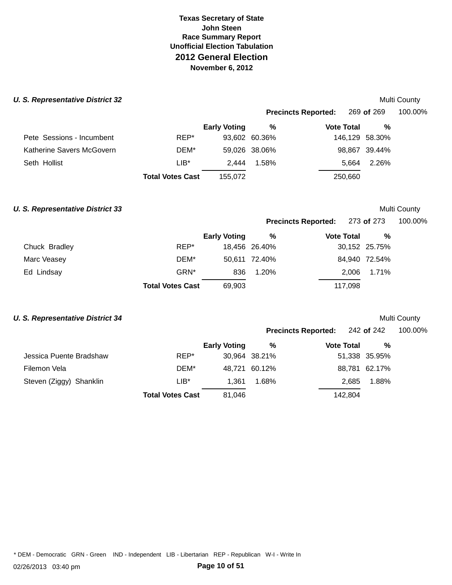### **U. S. Representative District 32 Multi County** *Multi County* **Multi County**

|                           |                         |                     |               | <b>Precincts Reported:</b> | 269 of 269     | 100.00% |
|---------------------------|-------------------------|---------------------|---------------|----------------------------|----------------|---------|
|                           |                         | <b>Early Voting</b> | %             | <b>Vote Total</b>          | %              |         |
| Pete Sessions - Incumbent | REP*                    |                     | 93,602 60.36% |                            | 146,129 58.30% |         |
| Katherine Savers McGovern | DEM*                    |                     | 59,026 38.06% |                            | 98,867 39.44%  |         |
| Seth Hollist              | $LIB*$                  | 2.444               | 1.58%         | 5.664                      | 2.26%          |         |
|                           | <b>Total Votes Cast</b> | 155.072             |               | 250,660                    |                |         |

### **U. S. Representative District 33 Multi County** *Multi County* **Multi County**

**Precincts Reported:** 273 **of** 273 100.00%

|               |                         | <b>Early Voting</b> | %             | <b>Vote Total</b> | %             |  |
|---------------|-------------------------|---------------------|---------------|-------------------|---------------|--|
| Chuck Bradley | REP*                    |                     | 18,456 26.40% |                   | 30,152 25.75% |  |
| Marc Veasey   | DEM*                    |                     | 50.611 72.40% |                   | 84,940 72.54% |  |
| Ed Lindsay    | GRN*                    | 836                 | 1.20%         |                   | 2.006 1.71%   |  |
|               | <b>Total Votes Cast</b> | 69,903              |               | 117.098           |               |  |

### **U. S. Representative District 34 Multi County** *Multi County* **Multi County**

|                         |                         |                     | <b>Precincts Reported:</b> |                   | 242 of 242    | 100.00% |  |
|-------------------------|-------------------------|---------------------|----------------------------|-------------------|---------------|---------|--|
|                         |                         | <b>Early Voting</b> | %                          | <b>Vote Total</b> | %             |         |  |
| Jessica Puente Bradshaw | REP*                    |                     | 30,964 38.21%              |                   | 51,338 35.95% |         |  |
| Filemon Vela            | DEM*                    |                     | 48,721 60.12%              |                   | 88,781 62.17% |         |  |
| Steven (Ziggy) Shanklin | $LIB*$                  | 1.361               | 1.68%                      | 2.685             | 1.88%         |         |  |
|                         | <b>Total Votes Cast</b> | 81,046              |                            | 142,804           |               |         |  |

\* DEM - Democratic GRN - Green IND - Independent LIB - Libertarian REP - Republican W-I - Write In

02/26/2013 03:40 pm **Page 10 of 51**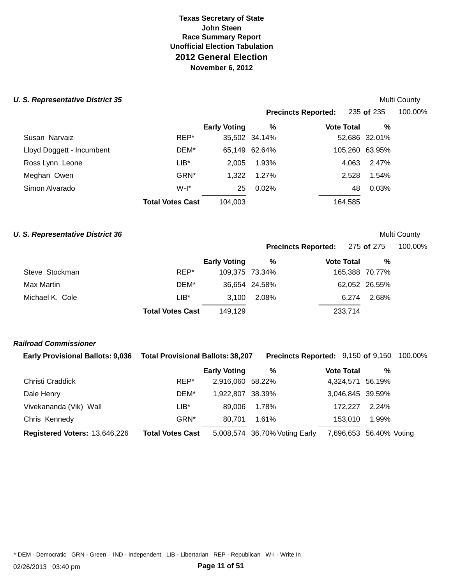Susan Narvaiz Lloyd Doggett - Incumbent DEM\* 65,149 62.64% 105,260 63.95% Ross Lynn Leone LIB\* 2,005 1.93% 4,063 2.47% Meghan Owen GRN\* 1,322 1.27% 2,528 1.54% **Total Votes Cast** 104,003 164,585 **U. S. Representative District 35 Multi County** *Multi County* **Multi County Precincts Reported:** 235 **of** 235 100.00% **Early Voting % Vote Total %**  REP\* 35,502 34.14% 52,686 32.01% Simon Alvarado W-I\* 25 0.02% 48 0.03%

# **U. S. Representative District 36 Multi County** *Multi County* **Multi County**

| 100.00%<br>275 of 275 |
|-----------------------|
|                       |

|                 |                         | <b>Early Voting</b> | %             | <b>Vote Total</b> | %              |
|-----------------|-------------------------|---------------------|---------------|-------------------|----------------|
| Steve Stockman  | REP*                    | 109,375 73.34%      |               |                   | 165,388 70.77% |
| Max Martin      | DEM*                    |                     | 36,654 24.58% |                   | 62,052 26.55%  |
| Michael K. Cole | $LIB*$                  |                     | 3.100 2.08%   | 6.274             | 2.68%          |
|                 | <b>Total Votes Cast</b> | 149.129             |               | 233,714           |                |

### **Railroad Commissioner**

| <b>Early Provisional Ballots: 9,036</b> | <b>Total Provisional Ballots: 38,207</b> |                     | <b>Precincts Reported: 9,150 of 9,150 100.00%</b> |                         |       |  |
|-----------------------------------------|------------------------------------------|---------------------|---------------------------------------------------|-------------------------|-------|--|
|                                         |                                          | <b>Early Voting</b> | %                                                 | <b>Vote Total</b>       | %     |  |
| Christi Craddick                        | REP*                                     | 2,916,060 58.22%    |                                                   | 4,324,571 56.19%        |       |  |
| Dale Henry                              | DEM*                                     | 1.922.807 38.39%    |                                                   | 3,046,845 39.59%        |       |  |
| Vivekananda (Vik) Wall                  | $LIB^*$                                  | 89.006              | 1.78%                                             | 172.227                 | 2.24% |  |
| Chris Kennedy                           | GRN <sup>*</sup>                         | 80.701              | 1.61%                                             | 153.010                 | 1.99% |  |
| Registered Voters: 13,646,226           | <b>Total Votes Cast</b>                  |                     | 5,008,574 36.70% Voting Early                     | 7,696,653 56.40% Voting |       |  |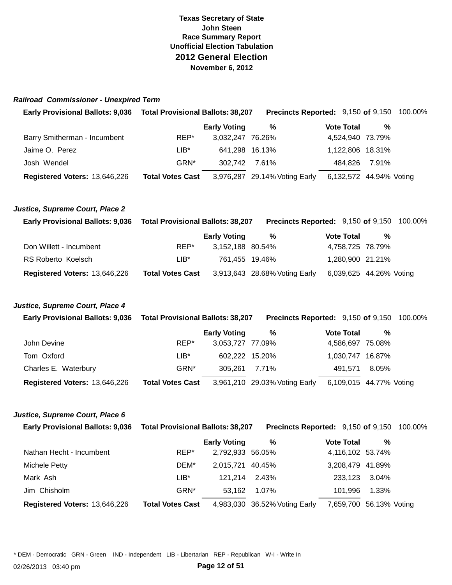### **Railroad Commissioner - Unexpired Term**

| <b>Early Provisional Ballots: 9,036</b> | <b>Total Provisional Ballots: 38,207</b> |                     | <b>Precincts Reported: 9,150 of 9,150 100.00%</b> |                         |       |  |
|-----------------------------------------|------------------------------------------|---------------------|---------------------------------------------------|-------------------------|-------|--|
|                                         |                                          | <b>Early Voting</b> | %                                                 | <b>Vote Total</b>       | %     |  |
| Barry Smitherman - Incumbent            | REP*                                     | 3,032,247 76.26%    |                                                   | 4,524,940 73.79%        |       |  |
| Jaime O. Perez                          | LIB*                                     | 641,298 16.13%      |                                                   | 1,122,806 18.31%        |       |  |
| Josh Wendel                             | GRN <sup>*</sup>                         | 302.742             | 7.61%                                             | 484.826                 | 7.91% |  |
| Registered Voters: 13,646,226           | <b>Total Votes Cast</b>                  |                     | 3,976,287 29.14% Voting Early                     | 6,132,572 44.94% Voting |       |  |
|                                         |                                          |                     |                                                   |                         |       |  |
|                                         |                                          |                     |                                                   |                         |       |  |

### **Justice, Supreme Court, Place 2**

| <b>Early Provisional Ballots: 9,036</b> | <b>Total Provisional Ballots: 38,207</b> |                     | <b>Precincts Reported: 9,150 of 9,150 100.00%</b> |                   |                         |  |
|-----------------------------------------|------------------------------------------|---------------------|---------------------------------------------------|-------------------|-------------------------|--|
|                                         |                                          | <b>Early Voting</b> | %                                                 | <b>Vote Total</b> | %                       |  |
| Don Willett - Incumbent                 | REP*                                     | 3,152,188 80.54%    |                                                   |                   | 4,758,725 78.79%        |  |
| RS Roberto Koelsch                      | LIB*                                     | 761.455 19.46%      |                                                   |                   | 1,280,900 21.21%        |  |
| Registered Voters: 13,646,226           | <b>Total Votes Cast</b>                  |                     | 3,913,643 28.68% Voting Early                     |                   | 6,039,625 44.26% Voting |  |

### **Justice, Supreme Court, Place 4**

| <b>Early Provisional Ballots: 9,036</b> | <b>Total Provisional Ballots: 38,207</b> |                     | <b>Precincts Reported: 9,150 of 9,150 100.00%</b> |                         |       |  |
|-----------------------------------------|------------------------------------------|---------------------|---------------------------------------------------|-------------------------|-------|--|
|                                         |                                          | <b>Early Voting</b> | %                                                 | <b>Vote Total</b>       | %     |  |
| John Devine                             | REP*                                     | 3,053,727 77.09%    |                                                   | 4,586,697 75.08%        |       |  |
| Tom Oxford                              | LIB*                                     | 602.222 15.20%      |                                                   | 1.030.747 16.87%        |       |  |
| Charles E. Waterbury                    | GRN*                                     | 305.261             | 7.71%                                             | 491.571                 | 8.05% |  |
| Registered Voters: 13,646,226           | <b>Total Votes Cast</b>                  |                     | 3,961,210 29.03% Voting Early                     | 6,109,015 44.77% Voting |       |  |

### **Justice, Supreme Court, Place 6**

| <b>Early Provisional Ballots: 9,036</b> | <b>Total Provisional Ballots: 38,207</b> |                               | <b>Precincts Reported: 9,150 of 9,150 100.00%</b> |       |  |
|-----------------------------------------|------------------------------------------|-------------------------------|---------------------------------------------------|-------|--|
|                                         | <b>Early Voting</b>                      | %                             | <b>Vote Total</b>                                 | %     |  |
| Nathan Hecht - Incumbent                | REP*                                     | 2,792,933 56.05%              | 4,116,102 53.74%                                  |       |  |
| <b>Michele Petty</b>                    | DEM*                                     | 2.015.721 40.45%              | 3,208,479 41.89%                                  |       |  |
| Mark Ash                                | $LIB^*$                                  | 121.214<br>2.43%              | 233.123                                           | 3.04% |  |
| Jim Chisholm                            | GRN*                                     | 1.07%<br>53.162               | 101.996                                           | 1.33% |  |
| Registered Voters: 13,646,226           | <b>Total Votes Cast</b>                  | 4,983,030 36.52% Voting Early | 7,659,700 56.13% Voting                           |       |  |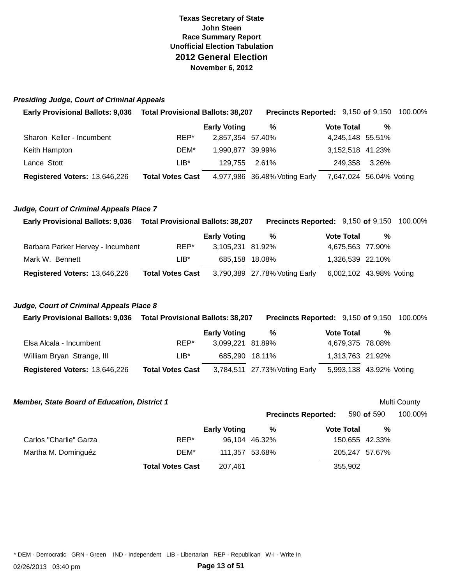### **Presiding Judge, Court of Criminal Appeals**

| Early Provisional Ballots: 9,036  Total Provisional Ballots: 38,207 |                         |                     | <b>Precincts Reported: 9,150 of 9,150 100.00%</b> |                         |               |  |
|---------------------------------------------------------------------|-------------------------|---------------------|---------------------------------------------------|-------------------------|---------------|--|
|                                                                     |                         | <b>Early Voting</b> | %                                                 | <b>Vote Total</b>       | %             |  |
| Sharon Keller - Incumbent                                           | REP*                    | 2,857,354 57.40%    |                                                   | 4,245,148 55.51%        |               |  |
| Keith Hampton                                                       | DEM*                    | 1,990,877 39.99%    |                                                   | 3,152,518 41.23%        |               |  |
| Lance Stott                                                         | $LIB*$                  | 129,755 2.61%       |                                                   |                         | 249,358 3.26% |  |
| Registered Voters: 13,646,226                                       | <b>Total Votes Cast</b> |                     | 4,977,986 36.48% Voting Early                     | 7,647,024 56.04% Voting |               |  |

### **Judge, Court of Criminal Appeals Place 7**

| <b>Early Provisional Ballots: 9,036</b> | <b>Total Provisional Ballots: 38,207</b> |                     | <b>Precincts Reported: 9,150 of 9,150 100.00%</b> |                   |                         |  |
|-----------------------------------------|------------------------------------------|---------------------|---------------------------------------------------|-------------------|-------------------------|--|
|                                         |                                          | <b>Early Voting</b> | %                                                 | <b>Vote Total</b> | %                       |  |
| Barbara Parker Hervey - Incumbent       | REP*                                     | 3,105,231 81.92%    |                                                   |                   | 4,675,563 77.90%        |  |
| Mark W. Bennett                         | LIB*                                     | 685,158 18.08%      |                                                   |                   | 1,326,539 22.10%        |  |
| Registered Voters: 13,646,226           | <b>Total Votes Cast</b>                  |                     | 3,790,389 27.78% Voting Early                     |                   | 6,002,102 43.98% Voting |  |

### **Judge, Court of Criminal Appeals Place 8**

| <b>Early Provisional Ballots: 9,036</b> | <b>Total Provisional Ballots: 38,207</b> |                     |                               | <b>Precincts Reported: 9,150 of 9,150 100.00%</b> |                   |                         |  |
|-----------------------------------------|------------------------------------------|---------------------|-------------------------------|---------------------------------------------------|-------------------|-------------------------|--|
|                                         |                                          | <b>Early Voting</b> | %                             |                                                   | <b>Vote Total</b> | %                       |  |
| Elsa Alcala - Incumbent                 | REP*                                     | 3.099.221 81.89%    |                               |                                                   |                   | 4,679,375 78.08%        |  |
| William Bryan Strange, III              | $LIB^*$                                  |                     | 685.290 18.11%                |                                                   |                   | 1,313,763 21.92%        |  |
| Registered Voters: 13,646,226           | <b>Total Votes Cast</b>                  |                     | 3,784,511 27.73% Voting Early |                                                   |                   | 5,993,138 43.92% Voting |  |

| <b>Member, State Board of Education, District 1</b> |                         |                     |                |                            |                | Multi County |
|-----------------------------------------------------|-------------------------|---------------------|----------------|----------------------------|----------------|--------------|
|                                                     |                         |                     |                | <b>Precincts Reported:</b> | 590 of 590     | 100.00%      |
|                                                     |                         | <b>Early Voting</b> | %              | <b>Vote Total</b>          | %              |              |
| Carlos "Charlie" Garza                              | REP*                    |                     | 96,104 46.32%  |                            | 150,655 42.33% |              |
| Martha M. Dominguéz                                 | DEM*                    |                     | 111,357 53.68% |                            | 205,247 57.67% |              |
|                                                     | <b>Total Votes Cast</b> | 207.461             |                | 355,902                    |                |              |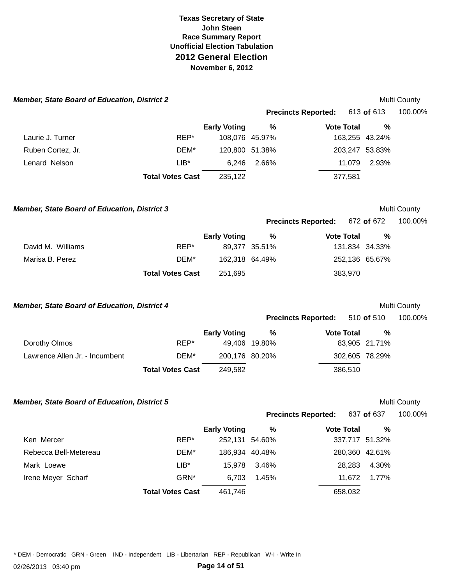| <b>Member, State Board of Education, District 2</b> |                         |                     |               |                            |                   |                | Multi County |
|-----------------------------------------------------|-------------------------|---------------------|---------------|----------------------------|-------------------|----------------|--------------|
|                                                     |                         |                     |               | <b>Precincts Reported:</b> |                   | 613 of 613     | 100.00%      |
|                                                     |                         | <b>Early Voting</b> | %             |                            | <b>Vote Total</b> | %              |              |
| Laurie J. Turner                                    | REP*                    | 108,076 45.97%      |               |                            |                   | 163,255 43.24% |              |
| Ruben Cortez, Jr.                                   | DEM*                    | 120,800 51.38%      |               |                            |                   | 203,247 53.83% |              |
| Lenard Nelson                                       | $LIB^*$                 | 6,246               | 2.66%         |                            | 11,079            | 2.93%          |              |
|                                                     | <b>Total Votes Cast</b> | 235,122             |               |                            | 377,581           |                |              |
| <b>Member, State Board of Education, District 3</b> |                         |                     |               |                            |                   |                | Multi County |
|                                                     |                         |                     |               | <b>Precincts Reported:</b> |                   | 672 of 672     | 100.00%      |
|                                                     |                         | <b>Early Voting</b> | $\%$          |                            | <b>Vote Total</b> | %              |              |
| David M. Williams                                   | REP*                    |                     | 89,377 35.51% |                            |                   | 131,834 34.33% |              |
| Marisa B. Perez                                     | DEM*                    | 162,318 64.49%      |               |                            |                   | 252,136 65.67% |              |
|                                                     | <b>Total Votes Cast</b> | 251,695             |               |                            | 383,970           |                |              |
| <b>Member, State Board of Education, District 4</b> |                         |                     |               |                            |                   |                | Multi County |
|                                                     |                         |                     |               | <b>Precincts Reported:</b> |                   | 510 of 510     | 100.00%      |
|                                                     |                         | <b>Early Voting</b> | %             |                            | <b>Vote Total</b> | %              |              |
| Dorothy Olmos                                       | REP*                    |                     | 49,406 19.80% |                            |                   | 83,905 21.71%  |              |
| Lawrence Allen Jr. - Incumbent                      | DEM*                    | 200,176 80.20%      |               |                            |                   | 302,605 78.29% |              |
|                                                     | <b>Total Votes Cast</b> | 249,582             |               |                            | 386,510           |                |              |
| <b>Member, State Board of Education, District 5</b> |                         |                     |               |                            |                   |                | Multi County |
|                                                     |                         |                     |               | <b>Precincts Reported:</b> |                   | 637 of 637     | 100.00%      |
|                                                     |                         | <b>Early Voting</b> | $\%$          |                            | <b>Vote Total</b> | %              |              |
| Ken Mercer                                          | REP*                    | 252,131 54.60%      |               |                            |                   | 337,717 51.32% |              |
| Rebecca Bell-Metereau                               | DEM*                    | 186,934 40.48%      |               |                            |                   | 280,360 42.61% |              |
| Mark Loewe                                          | $LIB^*$                 | 15,978              | 3.46%         |                            | 28,283            | 4.30%          |              |
| Irene Meyer Scharf                                  | GRN*                    | 6,703               | 1.45%         |                            | 11,672            | 1.77%          |              |
|                                                     | <b>Total Votes Cast</b> | 461,746             |               |                            | 658,032           |                |              |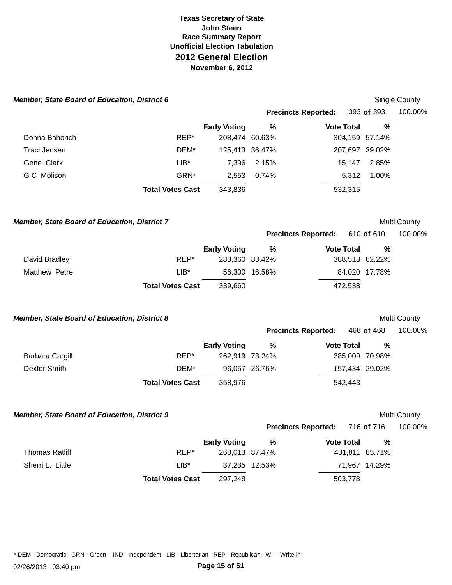| <b>Member, State Board of Education, District 6</b> |                         |                     |               |                            |         |                | Single County |
|-----------------------------------------------------|-------------------------|---------------------|---------------|----------------------------|---------|----------------|---------------|
|                                                     |                         |                     |               | <b>Precincts Reported:</b> |         | 393 of 393     | 100.00%       |
|                                                     |                         | <b>Early Voting</b> | $\%$          | <b>Vote Total</b>          |         | %              |               |
| Donna Bahorich                                      | REP*                    | 208,474 60.63%      |               |                            |         | 304,159 57.14% |               |
| Traci Jensen                                        | DEM*                    | 125,413 36.47%      |               |                            |         | 207,697 39.02% |               |
| Gene Clark                                          | $LIB^*$                 | 7,396               | 2.15%         |                            | 15,147  | 2.85%          |               |
| G C Molison                                         | GRN*                    | 2,553               | 0.74%         |                            | 5,312   | 1.00%          |               |
|                                                     | <b>Total Votes Cast</b> | 343,836             |               |                            | 532,315 |                |               |
| <b>Member, State Board of Education, District 7</b> |                         |                     |               |                            |         |                | Multi County  |
|                                                     |                         |                     |               | <b>Precincts Reported:</b> |         | 610 of 610     | 100.00%       |
|                                                     |                         | <b>Early Voting</b> | $\%$          | <b>Vote Total</b>          |         | %              |               |
| David Bradley                                       | REP*                    | 283,360 83.42%      |               |                            |         | 388,518 82.22% |               |
| Matthew Petre                                       | $LIB*$                  |                     | 56,300 16.58% |                            |         | 84,020 17.78%  |               |
|                                                     | <b>Total Votes Cast</b> | 339,660             |               |                            | 472,538 |                |               |
| <b>Member, State Board of Education, District 8</b> |                         |                     |               |                            |         |                | Multi County  |
|                                                     |                         |                     |               | <b>Precincts Reported:</b> |         | 468 of 468     | 100.00%       |
|                                                     |                         | <b>Early Voting</b> | %             | <b>Vote Total</b>          |         | %              |               |
| <b>Barbara Cargill</b>                              | REP*                    | 262,919 73.24%      |               |                            |         | 385,009 70.98% |               |
| <b>Dexter Smith</b>                                 | DEM*                    |                     | 96,057 26.76% |                            |         | 157,434 29.02% |               |
|                                                     | <b>Total Votes Cast</b> | 358,976             |               |                            | 542,443 |                |               |
| <b>Member, State Board of Education, District 9</b> |                         |                     |               |                            |         |                | Multi County  |
|                                                     |                         |                     |               | <b>Precincts Reported:</b> |         | 716 of 716     | 100.00%       |
|                                                     |                         | <b>Early Voting</b> | $\%$          | <b>Vote Total</b>          |         | $\%$           |               |
| <b>Thomas Ratliff</b>                               | REP*                    | 260,013 87.47%      |               |                            |         | 431,811 85.71% |               |
| Sherri L. Little                                    | $LIB^*$                 |                     | 37,235 12.53% |                            |         | 71,967 14.29%  |               |
|                                                     | <b>Total Votes Cast</b> | 297,248             |               |                            | 503,778 |                |               |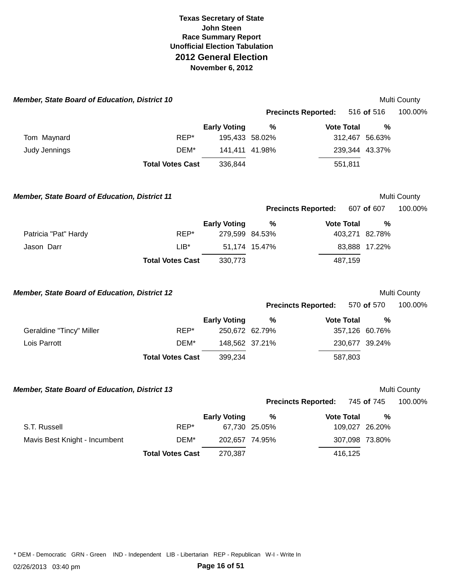| Member, State Board of Education, District 10        |                         |                     |               |                            |                | Multi County |
|------------------------------------------------------|-------------------------|---------------------|---------------|----------------------------|----------------|--------------|
|                                                      |                         |                     |               | <b>Precincts Reported:</b> | 516 of 516     | 100.00%      |
|                                                      |                         | <b>Early Voting</b> | $\frac{0}{0}$ | <b>Vote Total</b>          | $\frac{9}{6}$  |              |
| Tom Maynard                                          | REP*                    | 195,433 58.02%      |               |                            | 312,467 56.63% |              |
| Judy Jennings                                        | DEM*                    | 141,411 41.98%      |               |                            | 239,344 43.37% |              |
|                                                      | <b>Total Votes Cast</b> | 336,844             |               | 551,811                    |                |              |
| <b>Member, State Board of Education, District 11</b> |                         |                     |               |                            |                | Multi County |
|                                                      |                         |                     |               | <b>Precincts Reported:</b> | 607 of 607     | 100.00%      |
|                                                      |                         | <b>Early Voting</b> | $\%$          | <b>Vote Total</b>          | %              |              |
| Patricia "Pat" Hardy                                 | REP*                    | 279,599 84.53%      |               |                            | 403,271 82.78% |              |
| Jason Darr                                           | $LIB^*$                 |                     | 51,174 15.47% |                            | 83,888 17.22%  |              |
|                                                      | <b>Total Votes Cast</b> | 330,773             |               | 487,159                    |                |              |
| Member, State Board of Education, District 12        |                         |                     |               |                            |                | Multi County |
|                                                      |                         |                     |               | <b>Precincts Reported:</b> | 570 of 570     | 100.00%      |
|                                                      |                         | <b>Early Voting</b> | %             | <b>Vote Total</b>          | %              |              |
| Geraldine "Tincy" Miller                             | REP*                    | 250,672 62.79%      |               |                            | 357,126 60.76% |              |
| Lois Parrott                                         | DEM*                    | 148,562 37.21%      |               |                            | 230,677 39.24% |              |
|                                                      | <b>Total Votes Cast</b> | 399,234             |               | 587,803                    |                |              |
| <b>Member, State Board of Education, District 13</b> |                         |                     |               |                            |                | Multi County |
|                                                      |                         |                     |               | <b>Precincts Reported:</b> | 745 of 745     | 100.00%      |
|                                                      |                         | <b>Early Voting</b> | $\%$          | <b>Vote Total</b>          | $\frac{0}{0}$  |              |
| S.T. Russell                                         | REP*                    |                     | 67,730 25.05% |                            | 109,027 26.20% |              |
| Mavis Best Knight - Incumbent                        | DEM*                    | 202,657 74.95%      |               |                            | 307,098 73.80% |              |
|                                                      | <b>Total Votes Cast</b> | 270,387             |               | 416,125                    |                |              |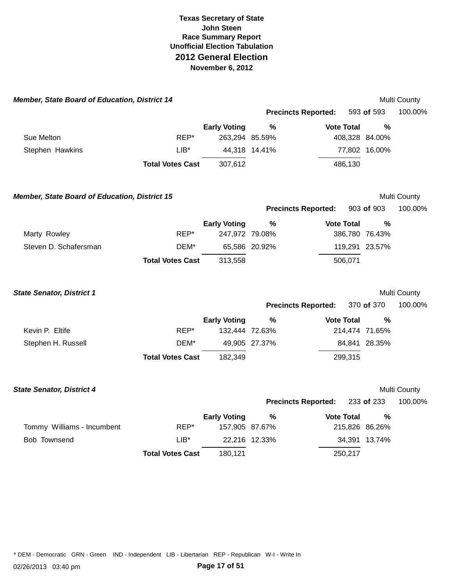| <b>Member, State Board of Education, District 14</b> |                         |                     |               |                            |                | Multi County |
|------------------------------------------------------|-------------------------|---------------------|---------------|----------------------------|----------------|--------------|
|                                                      |                         |                     |               | <b>Precincts Reported:</b> | 593 of 593     | 100.00%      |
|                                                      |                         | <b>Early Voting</b> | $\frac{0}{0}$ | <b>Vote Total</b>          | $\frac{0}{0}$  |              |
| Sue Melton                                           | REP*                    | 263,294 85.59%      |               |                            | 408,328 84.00% |              |
| Stephen Hawkins                                      | $LIB^*$                 |                     | 44,318 14.41% |                            | 77,802 16.00%  |              |
|                                                      | <b>Total Votes Cast</b> | 307,612             |               | 486,130                    |                |              |
| <b>Member, State Board of Education, District 15</b> |                         |                     |               |                            |                | Multi County |
|                                                      |                         |                     |               | <b>Precincts Reported:</b> | 903 of 903     | 100.00%      |
|                                                      |                         | <b>Early Voting</b> | $\frac{9}{6}$ | <b>Vote Total</b>          | $\frac{0}{0}$  |              |
| Marty Rowley                                         | REP*                    | 247,972 79.08%      |               |                            | 386,780 76.43% |              |
| Steven D. Schafersman                                | DEM*                    |                     | 65,586 20.92% |                            | 119,291 23.57% |              |
|                                                      | <b>Total Votes Cast</b> | 313,558             |               | 506,071                    |                |              |
| <b>State Senator, District 1</b>                     |                         |                     |               |                            |                | Multi County |
|                                                      |                         |                     |               | <b>Precincts Reported:</b> | 370 of 370     | 100.00%      |
|                                                      |                         | <b>Early Voting</b> | %             | <b>Vote Total</b>          | $\%$           |              |
| Kevin P. Eltife                                      | REP*                    | 132,444 72.63%      |               |                            | 214,474 71.65% |              |
| Stephen H. Russell                                   | DEM*                    |                     | 49,905 27.37% |                            | 84,841 28.35%  |              |
|                                                      | <b>Total Votes Cast</b> | 182,349             |               | 299,315                    |                |              |
| <b>State Senator, District 4</b>                     |                         |                     |               |                            |                | Multi County |
|                                                      |                         |                     |               | <b>Precincts Reported:</b> | 233 of 233     | 100.00%      |
|                                                      |                         | <b>Early Voting</b> | $\frac{0}{0}$ | <b>Vote Total</b>          | %              |              |
| Tommy Williams - Incumbent                           | REP*                    | 157,905 87.67%      |               |                            | 215,826 86.26% |              |
| Bob Townsend                                         | $LIB^*$                 |                     | 22,216 12.33% |                            | 34,391 13.74%  |              |
|                                                      | <b>Total Votes Cast</b> | 180,121             |               | 250,217                    |                |              |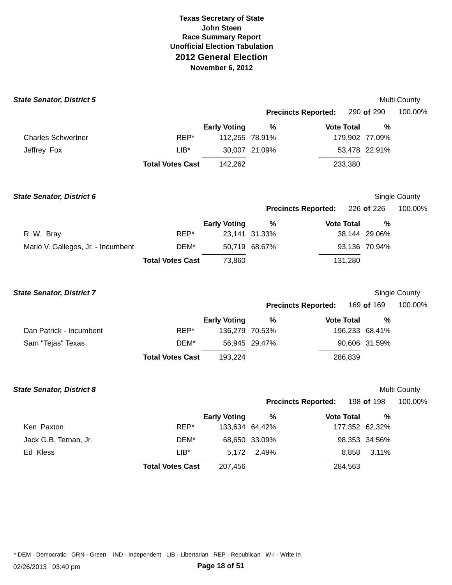| <b>State Senator, District 5</b>   |                         |                     |                |                            |                   |                | Multi County  |
|------------------------------------|-------------------------|---------------------|----------------|----------------------------|-------------------|----------------|---------------|
|                                    |                         |                     |                | <b>Precincts Reported:</b> |                   | 290 of 290     | 100.00%       |
|                                    |                         | <b>Early Voting</b> | %              |                            | <b>Vote Total</b> | %              |               |
| <b>Charles Schwertner</b>          | REP*                    | 112,255 78.91%      |                |                            |                   | 179,902 77.09% |               |
| Jeffrey Fox                        | $LIB*$                  |                     | 30,007 21.09%  |                            |                   | 53,478 22.91%  |               |
|                                    | <b>Total Votes Cast</b> | 142,262             |                |                            | 233,380           |                |               |
| <b>State Senator, District 6</b>   |                         |                     |                |                            |                   |                | Single County |
|                                    |                         |                     |                | <b>Precincts Reported:</b> |                   | 226 of 226     | 100.00%       |
|                                    |                         | <b>Early Voting</b> | %              |                            | <b>Vote Total</b> | %              |               |
| R. W. Bray                         | REP*                    |                     | 23,141 31.33%  |                            |                   | 38,144 29.06%  |               |
| Mario V. Gallegos, Jr. - Incumbent | DEM*                    |                     | 50,719 68.67%  |                            |                   | 93,136 70.94%  |               |
|                                    | <b>Total Votes Cast</b> | 73,860              |                |                            | 131,280           |                |               |
| <b>State Senator, District 7</b>   |                         |                     |                |                            |                   |                | Single County |
|                                    |                         |                     |                | <b>Precincts Reported:</b> |                   | 169 of 169     | 100.00%       |
|                                    |                         | <b>Early Voting</b> | %              |                            | <b>Vote Total</b> | $\%$           |               |
| Dan Patrick - Incumbent            | REP*                    | 136,279 70.53%      |                |                            |                   | 196,233 68.41% |               |
| Sam "Tejas" Texas                  | DEM*                    |                     | 56,945 29.47%  |                            |                   | 90,606 31.59%  |               |
|                                    | <b>Total Votes Cast</b> | 193,224             |                |                            | 286,839           |                |               |
| <b>State Senator, District 8</b>   |                         |                     |                |                            |                   |                | Multi County  |
|                                    |                         |                     |                | <b>Precincts Reported:</b> |                   | 198 of 198     | 100.00%       |
|                                    |                         | <b>Early Voting</b> | ℅              |                            | <b>Vote Total</b> | %              |               |
| Ken Paxton                         | REP*                    |                     | 133,634 64.42% |                            |                   | 177,352 62.32% |               |
| Jack G.B. Ternan, Jr.              | DEM*                    |                     | 68,650 33.09%  |                            |                   | 98,353 34.56%  |               |
| Ed Kless                           | LIB*                    | 5,172               | 2.49%          |                            | 8,858             | 3.11%          |               |
|                                    | <b>Total Votes Cast</b> | 207,456             |                |                            | 284,563           |                |               |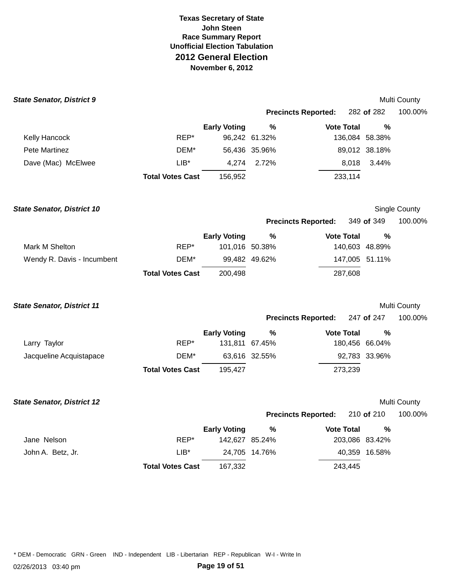| <b>State Senator, District 9</b>  |                         |                     |               |                            |                | Multi County  |
|-----------------------------------|-------------------------|---------------------|---------------|----------------------------|----------------|---------------|
|                                   |                         |                     |               | <b>Precincts Reported:</b> | 282 of 282     | 100.00%       |
|                                   |                         | <b>Early Voting</b> | %             | <b>Vote Total</b>          | $\%$           |               |
| Kelly Hancock                     | REP*                    |                     | 96,242 61.32% |                            | 136,084 58.38% |               |
| Pete Martinez                     | DEM*                    |                     | 56,436 35.96% |                            | 89,012 38.18%  |               |
| Dave (Mac) McElwee                | $LIB^*$                 | 4,274               | 2.72%         | 8,018                      | 3.44%          |               |
|                                   | <b>Total Votes Cast</b> | 156,952             |               | 233,114                    |                |               |
| <b>State Senator, District 10</b> |                         |                     |               |                            |                | Single County |
|                                   |                         |                     |               | <b>Precincts Reported:</b> | 349 of 349     | 100.00%       |
|                                   |                         | <b>Early Voting</b> | $\%$          | <b>Vote Total</b>          | $\frac{0}{0}$  |               |
| Mark M Shelton                    | REP*                    | 101,016 50.38%      |               |                            | 140,603 48.89% |               |
| Wendy R. Davis - Incumbent        | DEM*                    |                     | 99,482 49.62% |                            | 147,005 51.11% |               |
|                                   | <b>Total Votes Cast</b> | 200,498             |               | 287,608                    |                |               |
| <b>State Senator, District 11</b> |                         |                     |               |                            |                | Multi County  |
|                                   |                         |                     |               | <b>Precincts Reported:</b> | 247 of 247     | 100.00%       |
|                                   |                         | <b>Early Voting</b> | %             | <b>Vote Total</b>          | $\frac{0}{0}$  |               |
| Larry Taylor                      | REP*                    | 131,811 67.45%      |               |                            | 180,456 66.04% |               |
| Jacqueline Acquistapace           | DEM*                    |                     | 63,616 32.55% |                            | 92,783 33.96%  |               |
|                                   | <b>Total Votes Cast</b> | 195,427             |               | 273,239                    |                |               |
| <b>State Senator, District 12</b> |                         |                     |               |                            |                | Multi County  |
|                                   |                         |                     |               | <b>Precincts Reported:</b> | 210 of 210     | 100.00%       |
|                                   |                         | <b>Early Voting</b> | %             | <b>Vote Total</b>          | %              |               |
| Jane Nelson                       | REP*                    | 142,627 85.24%      |               |                            | 203,086 83.42% |               |
| John A. Betz, Jr.                 | $LIB*$                  |                     | 24,705 14.76% |                            | 40,359 16.58%  |               |
|                                   | <b>Total Votes Cast</b> | 167,332             |               | 243,445                    |                |               |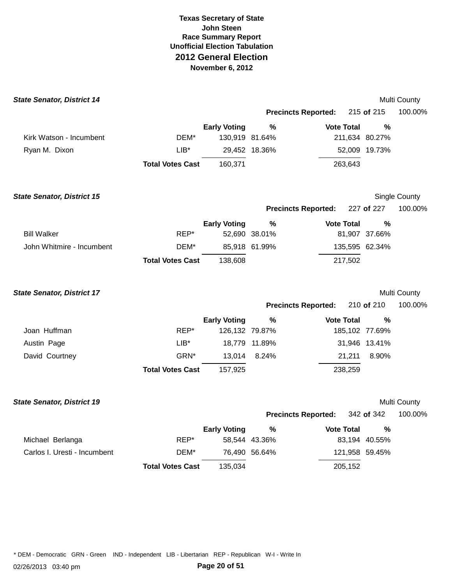| <b>State Senator, District 14</b> |                         |                     |               |                            |                | Multi County  |
|-----------------------------------|-------------------------|---------------------|---------------|----------------------------|----------------|---------------|
|                                   |                         |                     |               | <b>Precincts Reported:</b> | 215 of 215     | 100.00%       |
|                                   |                         | <b>Early Voting</b> | %             | <b>Vote Total</b>          | %              |               |
| Kirk Watson - Incumbent           | DEM*                    | 130,919 81.64%      |               |                            | 211,634 80.27% |               |
| Ryan M. Dixon                     | $LIB^*$                 |                     | 29,452 18.36% |                            | 52,009 19.73%  |               |
|                                   | <b>Total Votes Cast</b> | 160,371             |               | 263,643                    |                |               |
| <b>State Senator, District 15</b> |                         |                     |               |                            |                | Single County |
|                                   |                         |                     |               | <b>Precincts Reported:</b> | 227 of 227     | 100.00%       |
|                                   |                         | <b>Early Voting</b> | $\%$          | <b>Vote Total</b>          | %              |               |
| <b>Bill Walker</b>                | REP*                    |                     | 52,690 38.01% |                            | 81,907 37.66%  |               |
| John Whitmire - Incumbent         | DEM*                    |                     | 85,918 61.99% |                            | 135,595 62.34% |               |
|                                   | <b>Total Votes Cast</b> | 138,608             |               | 217,502                    |                |               |
| <b>State Senator, District 17</b> |                         |                     |               |                            |                | Multi County  |
|                                   |                         |                     |               | <b>Precincts Reported:</b> | 210 of 210     | 100.00%       |
|                                   |                         | <b>Early Voting</b> | %             | <b>Vote Total</b>          | $\frac{0}{0}$  |               |
| Joan Huffman                      | REP*                    | 126,132 79.87%      |               |                            | 185,102 77.69% |               |
| Austin Page                       | $LIB^*$                 |                     | 18,779 11.89% |                            | 31,946 13.41%  |               |
| David Courtney                    | GRN*                    | 13,014              | 8.24%         | 21,211                     | 8.90%          |               |
|                                   | <b>Total Votes Cast</b> | 157,925             |               | 238,259                    |                |               |
| <b>State Senator, District 19</b> |                         |                     |               |                            |                | Multi County  |
|                                   |                         |                     |               | <b>Precincts Reported:</b> | 342 of 342     | 100.00%       |
|                                   |                         | <b>Early Voting</b> | $\%$          | <b>Vote Total</b>          | %              |               |
| Michael Berlanga                  | REP*                    |                     | 58,544 43.36% |                            | 83,194 40.55%  |               |
| Carlos I. Uresti - Incumbent      | DEM*                    |                     | 76,490 56.64% |                            | 121,958 59.45% |               |
|                                   | <b>Total Votes Cast</b> | 135,034             |               | 205,152                    |                |               |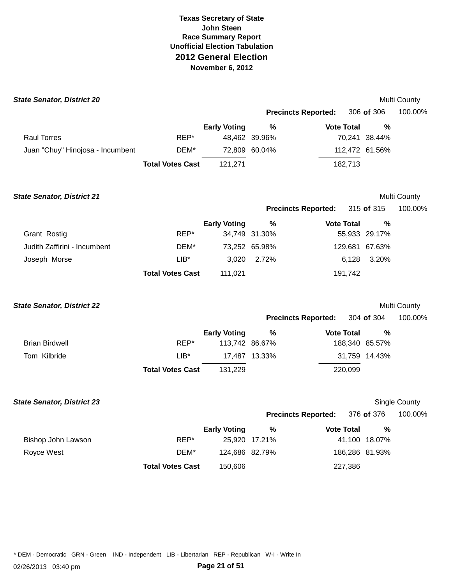| <b>State Senator, District 20</b> |                         |                     |               |                            |                   |                | Multi County  |
|-----------------------------------|-------------------------|---------------------|---------------|----------------------------|-------------------|----------------|---------------|
|                                   |                         |                     |               | <b>Precincts Reported:</b> |                   | 306 of 306     | 100.00%       |
|                                   |                         | <b>Early Voting</b> | %             |                            | <b>Vote Total</b> | %              |               |
| <b>Raul Torres</b>                | REP*                    |                     | 48,462 39.96% |                            |                   | 70,241 38.44%  |               |
| Juan "Chuy" Hinojosa - Incumbent  | DEM*                    |                     | 72,809 60.04% |                            |                   | 112,472 61.56% |               |
|                                   | <b>Total Votes Cast</b> | 121,271             |               |                            | 182,713           |                |               |
| <b>State Senator, District 21</b> |                         |                     |               |                            |                   |                | Multi County  |
|                                   |                         |                     |               | <b>Precincts Reported:</b> |                   | 315 of 315     | 100.00%       |
|                                   |                         | <b>Early Voting</b> | $\%$          |                            | <b>Vote Total</b> | %              |               |
| Grant Rostig                      | REP*                    |                     | 34,749 31.30% |                            |                   | 55,933 29.17%  |               |
| Judith Zaffirini - Incumbent      | DEM*                    |                     | 73,252 65.98% |                            |                   | 129,681 67.63% |               |
| Joseph Morse                      | $LIB^*$                 | 3,020               | 2.72%         |                            | 6,128             | 3.20%          |               |
|                                   | <b>Total Votes Cast</b> | 111,021             |               |                            | 191,742           |                |               |
| <b>State Senator, District 22</b> |                         |                     |               |                            |                   |                | Multi County  |
|                                   |                         |                     |               | <b>Precincts Reported:</b> |                   | 304 of 304     | 100.00%       |
|                                   |                         | <b>Early Voting</b> | %             |                            | <b>Vote Total</b> | %              |               |
| <b>Brian Birdwell</b>             | REP*                    | 113,742 86.67%      |               |                            |                   | 188,340 85.57% |               |
| Tom Kilbride                      | $LIB^*$                 |                     | 17,487 13.33% |                            |                   | 31,759 14.43%  |               |
|                                   | <b>Total Votes Cast</b> | 131,229             |               |                            | 220,099           |                |               |
| <b>State Senator, District 23</b> |                         |                     |               |                            |                   |                | Single County |
|                                   |                         |                     |               | <b>Precincts Reported:</b> |                   | 376 of 376     | 100.00%       |
|                                   |                         | <b>Early Voting</b> | $\%$          |                            | <b>Vote Total</b> | %              |               |
| Bishop John Lawson                | REP*                    |                     | 25,920 17.21% |                            |                   | 41,100 18.07%  |               |
| Royce West                        | DEM*                    | 124,686 82.79%      |               |                            |                   | 186,286 81.93% |               |
|                                   | <b>Total Votes Cast</b> | 150,606             |               |                            | 227,386           |                |               |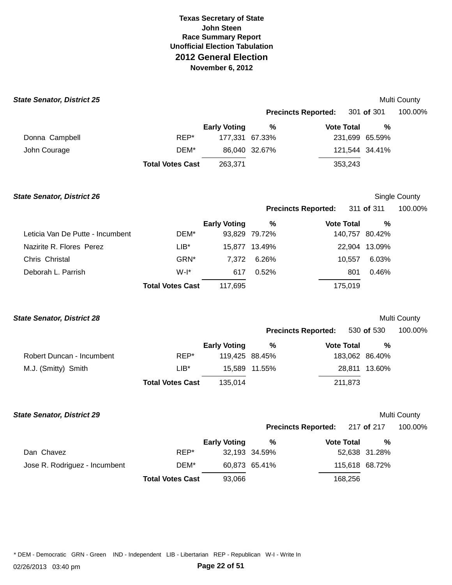| <b>State Senator, District 25</b> |                         |                     |                |                            |         |                | <b>Multi County</b> |
|-----------------------------------|-------------------------|---------------------|----------------|----------------------------|---------|----------------|---------------------|
|                                   |                         |                     |                | <b>Precincts Reported:</b> |         | 301 of 301     | 100.00%             |
|                                   |                         | <b>Early Voting</b> | %              | <b>Vote Total</b>          |         | %              |                     |
| Donna Campbell                    | REP*                    |                     | 177.331 67.33% |                            |         | 231,699 65.59% |                     |
| John Courage                      | DEM*                    |                     | 86,040 32.67%  |                            |         | 121,544 34.41% |                     |
|                                   | <b>Total Votes Cast</b> | 263,371             |                |                            | 353,243 |                |                     |

| <b>State Senator, District 26</b> |                         |                     |               |                            | Single County  |         |  |
|-----------------------------------|-------------------------|---------------------|---------------|----------------------------|----------------|---------|--|
|                                   |                         |                     |               | <b>Precincts Reported:</b> | 311 of 311     | 100.00% |  |
|                                   |                         | <b>Early Voting</b> | %             | <b>Vote Total</b>          | %              |         |  |
| Leticia Van De Putte - Incumbent  | DEM*                    |                     | 93,829 79.72% |                            | 140,757 80.42% |         |  |
| Nazirite R. Flores Perez          | $LIB*$                  | 15.877              | 13.49%        |                            | 22,904 13.09%  |         |  |
| Chris Christal                    | GRN*                    | 7.372               | 6.26%         | 10.557                     | 6.03%          |         |  |
| Deborah L. Parrish                | $W-I^*$                 | 617                 | 0.52%         | 801                        | 0.46%          |         |  |
|                                   | <b>Total Votes Cast</b> | 117,695             |               | 175,019                    |                |         |  |

### **State Senator, District 28 Multi County All the Senator of the Senator of the Senator of Multi County of the Senator of the Senator of the Senator of the Senator of the Senator of the Senator of the Senator of the S**

|                           |                         |                     |                | 530 <b>of</b> 530<br><b>Precincts Reported:</b> |                | 100.00% |
|---------------------------|-------------------------|---------------------|----------------|-------------------------------------------------|----------------|---------|
|                           |                         | <b>Early Voting</b> | %              | <b>Vote Total</b>                               | %              |         |
| Robert Duncan - Incumbent | REP*                    |                     | 119,425 88.45% |                                                 | 183,062 86.40% |         |
| M.J. (Smitty) Smith       | LIB*                    |                     | 15,589 11.55%  |                                                 | 28,811 13.60%  |         |
|                           | <b>Total Votes Cast</b> | 135.014             |                | 211,873                                         |                |         |

### **State Senator, District 29** Multi County

**Precincts Reported:** 217 **of** 217 100.00%

|                               |                         | <b>Early Voting</b> | %             | <b>Vote Total</b> | %             |
|-------------------------------|-------------------------|---------------------|---------------|-------------------|---------------|
| Dan Chavez                    | REP*                    |                     | 32,193 34.59% |                   | 52,638 31.28% |
| Jose R. Rodriguez - Incumbent | DEM*                    |                     | 60.873 65.41% | 115,618 68.72%    |               |
|                               | <b>Total Votes Cast</b> | 93.066              |               | 168.256           |               |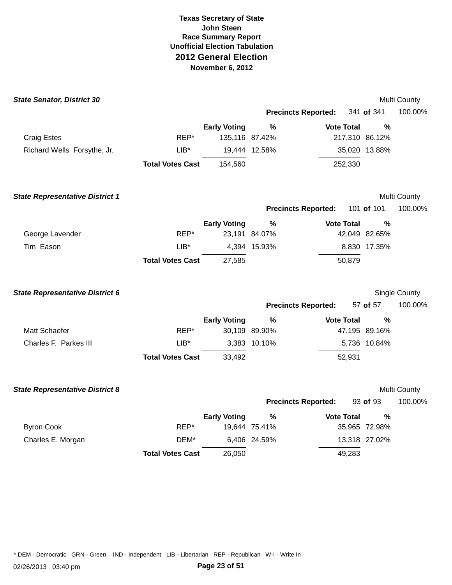| <b>State Senator, District 30</b>      |                         |                     |                            |                   |                | Multi County  |
|----------------------------------------|-------------------------|---------------------|----------------------------|-------------------|----------------|---------------|
|                                        |                         |                     | <b>Precincts Reported:</b> |                   | 341 of 341     | 100.00%       |
|                                        |                         | <b>Early Voting</b> | %                          | <b>Vote Total</b> | $\%$           |               |
| <b>Craig Estes</b>                     | REP*                    | 135,116 87.42%      |                            |                   | 217,310 86.12% |               |
| Richard Wells Forsythe, Jr.            | $LIB^*$                 |                     | 19,444 12.58%              |                   | 35,020 13.88%  |               |
|                                        | <b>Total Votes Cast</b> | 154,560             |                            | 252,330           |                |               |
| <b>State Representative District 1</b> |                         |                     |                            |                   |                | Multi County  |
|                                        |                         |                     | <b>Precincts Reported:</b> |                   | 101 of 101     | 100.00%       |
|                                        |                         | <b>Early Voting</b> | %                          | <b>Vote Total</b> | $\%$           |               |
| George Lavender                        | REP*                    |                     | 23,191 84.07%              |                   | 42,049 82.65%  |               |
| Tim Eason                              | $LIB*$                  |                     | 4,394 15.93%               |                   | 8,830 17.35%   |               |
|                                        | <b>Total Votes Cast</b> | 27,585              |                            | 50,879            |                |               |
| <b>State Representative District 6</b> |                         |                     |                            |                   |                | Single County |
|                                        |                         |                     | <b>Precincts Reported:</b> |                   | 57 of 57       | 100.00%       |
|                                        |                         | <b>Early Voting</b> | %                          | <b>Vote Total</b> | $\frac{0}{0}$  |               |
| Matt Schaefer                          | REP*                    |                     | 30,109 89.90%              |                   | 47,195 89.16%  |               |
| Charles F. Parkes III                  | $LIB*$                  |                     | 3,383 10.10%               |                   | 5,736 10.84%   |               |
|                                        | <b>Total Votes Cast</b> | 33,492              |                            | 52,931            |                |               |
| <b>State Representative District 8</b> |                         |                     |                            |                   |                | Multi County  |
|                                        |                         |                     | <b>Precincts Reported:</b> |                   | 93 of 93       | 100.00%       |
|                                        |                         | <b>Early Voting</b> | $\%$                       | <b>Vote Total</b> | $\frac{0}{0}$  |               |
| <b>Byron Cook</b>                      | REP*                    |                     | 19,644 75.41%              |                   | 35,965 72.98%  |               |
| Charles E. Morgan                      | DEM*                    |                     | 6,406 24.59%               |                   | 13,318 27.02%  |               |
|                                        | <b>Total Votes Cast</b> | 26,050              |                            | 49,283            |                |               |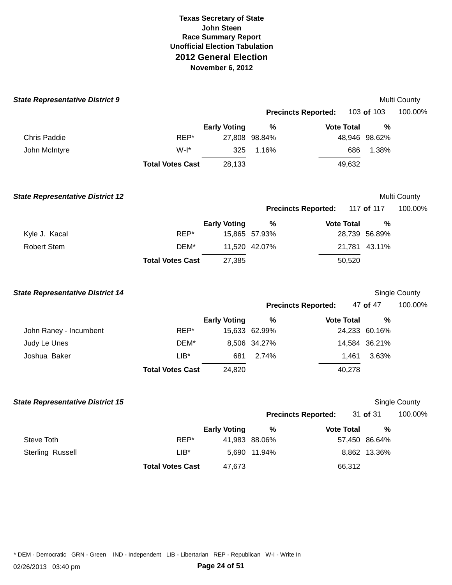| <b>State Representative District 9</b>  |                         |                     |               |                            |        |               | Multi County  |
|-----------------------------------------|-------------------------|---------------------|---------------|----------------------------|--------|---------------|---------------|
|                                         |                         |                     |               | <b>Precincts Reported:</b> |        | 103 of 103    | 100.00%       |
|                                         |                         | <b>Early Voting</b> | $\%$          | <b>Vote Total</b>          |        | $\%$          |               |
| <b>Chris Paddie</b>                     | REP*                    |                     | 27,808 98.84% |                            |        | 48,946 98.62% |               |
| John McIntyre                           | $W-I^*$                 | 325                 | 1.16%         |                            | 686    | 1.38%         |               |
|                                         | <b>Total Votes Cast</b> | 28,133              |               |                            | 49,632 |               |               |
| <b>State Representative District 12</b> |                         |                     |               |                            |        |               | Multi County  |
|                                         |                         |                     |               | <b>Precincts Reported:</b> |        | 117 of 117    | 100.00%       |
|                                         |                         | <b>Early Voting</b> | $\%$          | <b>Vote Total</b>          |        | %             |               |
| Kyle J. Kacal                           | REP*                    |                     | 15,865 57.93% |                            |        | 28,739 56.89% |               |
| <b>Robert Stem</b>                      | DEM*                    |                     | 11,520 42.07% |                            |        | 21,781 43.11% |               |
|                                         | <b>Total Votes Cast</b> | 27,385              |               |                            | 50,520 |               |               |
| <b>State Representative District 14</b> |                         |                     |               |                            |        |               | Single County |
|                                         |                         |                     |               | <b>Precincts Reported:</b> |        | 47 of 47      | 100.00%       |
|                                         |                         | <b>Early Voting</b> | %             | <b>Vote Total</b>          |        | %             |               |
| John Raney - Incumbent                  | REP*                    |                     | 15,633 62.99% |                            |        | 24,233 60.16% |               |
| Judy Le Unes                            | DEM*                    |                     | 8,506 34.27%  |                            |        | 14,584 36.21% |               |
| Joshua Baker                            | $LIB*$                  | 681                 | 2.74%         |                            | 1,461  | 3.63%         |               |
|                                         | <b>Total Votes Cast</b> | 24,820              |               |                            | 40,278 |               |               |
| <b>State Representative District 15</b> |                         |                     |               |                            |        |               | Single County |
|                                         |                         |                     |               | <b>Precincts Reported:</b> |        | 31 of 31      | 100.00%       |
|                                         |                         | <b>Early Voting</b> | %             | <b>Vote Total</b>          |        | %             |               |
| Steve Toth                              | REP*                    |                     | 41,983 88.06% |                            |        | 57,450 86.64% |               |
| Sterling Russell                        | $LIB^*$                 | 5,690               | 11.94%        |                            |        | 8,862 13.36%  |               |
|                                         | <b>Total Votes Cast</b> | 47,673              |               |                            | 66,312 |               |               |
|                                         |                         |                     |               |                            |        |               |               |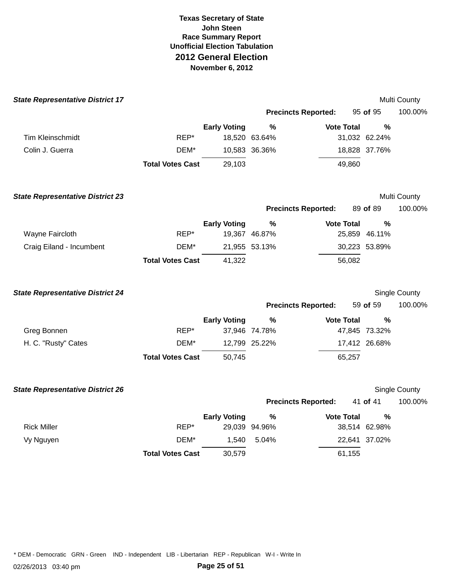| <b>State Representative District 17</b> |                         |                     |                            |                   |               | Multi County  |
|-----------------------------------------|-------------------------|---------------------|----------------------------|-------------------|---------------|---------------|
|                                         |                         |                     | <b>Precincts Reported:</b> |                   | 95 of 95      | 100.00%       |
|                                         |                         | <b>Early Voting</b> | %                          | <b>Vote Total</b> | $\frac{0}{0}$ |               |
| Tim Kleinschmidt                        | REP*                    |                     | 18,520 63.64%              |                   | 31,032 62.24% |               |
| Colin J. Guerra                         | DEM*                    |                     | 10,583 36.36%              |                   | 18,828 37.76% |               |
|                                         | <b>Total Votes Cast</b> | 29,103              |                            | 49,860            |               |               |
| <b>State Representative District 23</b> |                         |                     |                            |                   |               | Multi County  |
|                                         |                         |                     | <b>Precincts Reported:</b> |                   | 89 of 89      | 100.00%       |
|                                         |                         | <b>Early Voting</b> | %                          | <b>Vote Total</b> | %             |               |
| Wayne Faircloth                         | REP*                    |                     | 19,367 46.87%              |                   | 25,859 46.11% |               |
| Craig Eiland - Incumbent                | DEM*                    |                     | 21,955 53.13%              |                   | 30,223 53.89% |               |
|                                         | <b>Total Votes Cast</b> | 41,322              |                            | 56,082            |               |               |
| <b>State Representative District 24</b> |                         |                     |                            |                   |               | Single County |
|                                         |                         |                     | <b>Precincts Reported:</b> |                   | 59 of 59      | 100.00%       |
|                                         |                         | <b>Early Voting</b> | $\%$                       | <b>Vote Total</b> | %             |               |
| Greg Bonnen                             | REP*                    |                     | 37,946 74.78%              |                   | 47,845 73.32% |               |
| H. C. "Rusty" Cates                     | DEM*                    |                     | 12,799 25.22%              |                   | 17,412 26.68% |               |
|                                         | <b>Total Votes Cast</b> | 50,745              |                            | 65,257            |               |               |
| <b>State Representative District 26</b> |                         |                     |                            |                   |               | Single County |
|                                         |                         |                     | <b>Precincts Reported:</b> |                   | 41 of 41      | 100.00%       |
|                                         |                         | <b>Early Voting</b> | %                          | <b>Vote Total</b> | %             |               |
| <b>Rick Miller</b>                      | REP*                    |                     | 29,039 94.96%              |                   | 38,514 62.98% |               |
| Vy Nguyen                               | DEM*                    | 1,540               | 5.04%                      |                   | 22,641 37.02% |               |
|                                         | <b>Total Votes Cast</b> | 30,579              |                            | 61,155            |               |               |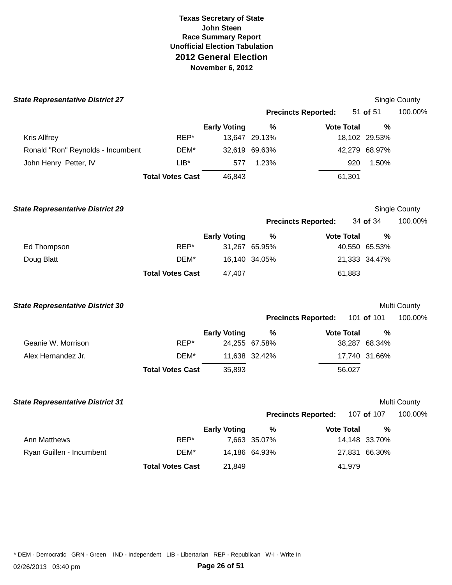| <b>State Representative District 27</b> |                         |                     |               |                            |               | Single County |
|-----------------------------------------|-------------------------|---------------------|---------------|----------------------------|---------------|---------------|
|                                         |                         |                     |               | <b>Precincts Reported:</b> | 51 of 51      | 100.00%       |
|                                         |                         | <b>Early Voting</b> | %             | <b>Vote Total</b>          | $\frac{0}{0}$ |               |
| <b>Kris Allfrey</b>                     | REP*                    |                     | 13,647 29.13% |                            | 18,102 29.53% |               |
| Ronald "Ron" Reynolds - Incumbent       | DEM*                    |                     | 32,619 69.63% |                            | 42,279 68.97% |               |
| John Henry Petter, IV                   | $LIB*$                  | 577                 | 1.23%         |                            | 1.50%<br>920  |               |
|                                         | <b>Total Votes Cast</b> | 46,843              |               | 61,301                     |               |               |
| <b>State Representative District 29</b> |                         |                     |               |                            |               | Single County |
|                                         |                         |                     |               | <b>Precincts Reported:</b> | 34 of 34      | 100.00%       |
|                                         |                         | <b>Early Voting</b> | $\%$          | <b>Vote Total</b>          | $\%$          |               |
| Ed Thompson                             | REP*                    |                     | 31,267 65.95% |                            | 40,550 65.53% |               |
| Doug Blatt                              | DEM*                    |                     | 16,140 34.05% |                            | 21,333 34.47% |               |
|                                         | <b>Total Votes Cast</b> | 47,407              |               | 61,883                     |               |               |
| <b>State Representative District 30</b> |                         |                     |               |                            |               | Multi County  |
|                                         |                         |                     |               | <b>Precincts Reported:</b> | 101 of 101    | 100.00%       |
|                                         |                         | <b>Early Voting</b> | %             | <b>Vote Total</b>          | $\frac{0}{0}$ |               |
| Geanie W. Morrison                      | REP*                    |                     | 24,255 67.58% |                            | 38,287 68.34% |               |
| Alex Hernandez Jr.                      | DEM*                    |                     | 11,638 32.42% |                            | 17,740 31.66% |               |
|                                         | <b>Total Votes Cast</b> | 35,893              |               | 56,027                     |               |               |
| <b>State Representative District 31</b> |                         |                     |               |                            |               | Multi County  |
|                                         |                         |                     |               | <b>Precincts Reported:</b> | 107 of 107    | 100.00%       |
|                                         |                         | <b>Early Voting</b> | %             | <b>Vote Total</b>          | $\%$          |               |
| Ann Matthews                            | REP*                    |                     | 7,663 35.07%  |                            | 14,148 33.70% |               |
| Ryan Guillen - Incumbent                | DEM*                    |                     | 14,186 64.93% |                            | 27,831 66.30% |               |
|                                         | <b>Total Votes Cast</b> | 21,849              |               | 41,979                     |               |               |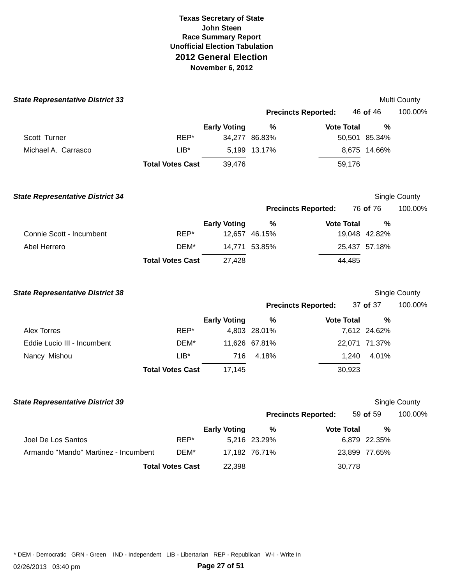| <b>State Representative District 33</b> |                         |                     |               |                            |               | Multi County  |
|-----------------------------------------|-------------------------|---------------------|---------------|----------------------------|---------------|---------------|
|                                         |                         |                     |               | <b>Precincts Reported:</b> | 46 of 46      | 100.00%       |
|                                         |                         | <b>Early Voting</b> | $\%$          | <b>Vote Total</b>          | %             |               |
| Scott Turner                            | REP*                    |                     | 34,277 86.83% |                            | 50,501 85.34% |               |
| Michael A. Carrasco                     | $LIB^*$                 |                     | 5,199 13.17%  |                            | 8,675 14.66%  |               |
|                                         | <b>Total Votes Cast</b> | 39,476              |               | 59,176                     |               |               |
| <b>State Representative District 34</b> |                         |                     |               |                            |               | Single County |
|                                         |                         |                     |               | <b>Precincts Reported:</b> | 76 of 76      | 100.00%       |
|                                         |                         | <b>Early Voting</b> | %             | <b>Vote Total</b>          | %             |               |
| Connie Scott - Incumbent                | REP*                    |                     | 12,657 46.15% |                            | 19,048 42.82% |               |
| Abel Herrero                            | DEM*                    |                     | 14,771 53.85% |                            | 25,437 57.18% |               |
|                                         | <b>Total Votes Cast</b> | 27,428              |               | 44,485                     |               |               |
| <b>State Representative District 38</b> |                         |                     |               |                            |               | Single County |
|                                         |                         |                     |               | <b>Precincts Reported:</b> | 37 of 37      | 100.00%       |
|                                         |                         | <b>Early Voting</b> | %             | <b>Vote Total</b>          | %             |               |
| <b>Alex Torres</b>                      | REP*                    |                     | 4,803 28.01%  |                            | 7,612 24.62%  |               |
| Eddie Lucio III - Incumbent             | DEM*                    |                     | 11,626 67.81% |                            | 22,071 71.37% |               |
| Nancy Mishou                            | $LIB^*$                 | 716                 | 4.18%         | 1,240                      | 4.01%         |               |
|                                         | <b>Total Votes Cast</b> | 17,145              |               | 30,923                     |               |               |
| <b>State Representative District 39</b> |                         |                     |               |                            |               | Single County |
|                                         |                         |                     |               | <b>Precincts Reported:</b> | 59 of 59      | 100.00%       |
|                                         |                         | <b>Early Voting</b> | %             | <b>Vote Total</b>          | %             |               |
| Joel De Los Santos                      | REP*                    |                     | 5,216 23.29%  |                            | 6,879 22.35%  |               |
| Armando "Mando" Martinez - Incumbent    | DEM*                    |                     | 17,182 76.71% |                            | 23,899 77.65% |               |
|                                         | <b>Total Votes Cast</b> | 22,398              |               | 30,778                     |               |               |
|                                         |                         |                     |               |                            |               |               |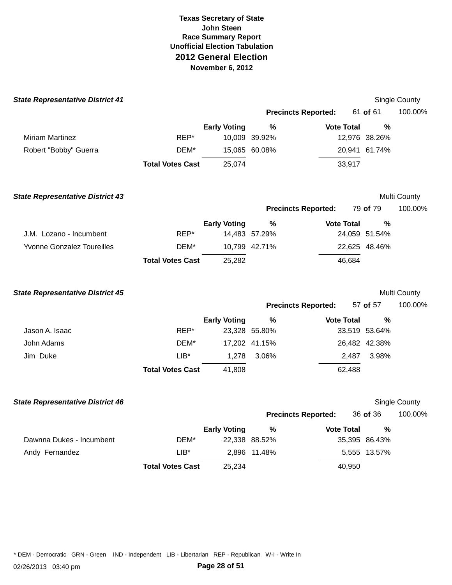|        |                     |                                                                                                          |                                                                                                                               |                                                                                                                      | Single County                                                                                                                                                                                                                                                                                                            |
|--------|---------------------|----------------------------------------------------------------------------------------------------------|-------------------------------------------------------------------------------------------------------------------------------|----------------------------------------------------------------------------------------------------------------------|--------------------------------------------------------------------------------------------------------------------------------------------------------------------------------------------------------------------------------------------------------------------------------------------------------------------------|
|        |                     |                                                                                                          |                                                                                                                               |                                                                                                                      | 100.00%                                                                                                                                                                                                                                                                                                                  |
|        | <b>Early Voting</b> | $\%$                                                                                                     |                                                                                                                               | $\frac{0}{0}$                                                                                                        |                                                                                                                                                                                                                                                                                                                          |
| REP*   |                     |                                                                                                          |                                                                                                                               |                                                                                                                      |                                                                                                                                                                                                                                                                                                                          |
| DEM*   |                     |                                                                                                          |                                                                                                                               |                                                                                                                      |                                                                                                                                                                                                                                                                                                                          |
|        | 25,074              |                                                                                                          |                                                                                                                               |                                                                                                                      |                                                                                                                                                                                                                                                                                                                          |
|        |                     |                                                                                                          |                                                                                                                               |                                                                                                                      | Multi County                                                                                                                                                                                                                                                                                                             |
|        |                     |                                                                                                          |                                                                                                                               |                                                                                                                      | 100.00%                                                                                                                                                                                                                                                                                                                  |
|        | <b>Early Voting</b> | %                                                                                                        |                                                                                                                               | $\frac{0}{0}$                                                                                                        |                                                                                                                                                                                                                                                                                                                          |
| REP*   |                     |                                                                                                          |                                                                                                                               |                                                                                                                      |                                                                                                                                                                                                                                                                                                                          |
| DEM*   |                     |                                                                                                          |                                                                                                                               |                                                                                                                      |                                                                                                                                                                                                                                                                                                                          |
|        | 25,282              |                                                                                                          |                                                                                                                               |                                                                                                                      |                                                                                                                                                                                                                                                                                                                          |
|        |                     |                                                                                                          |                                                                                                                               |                                                                                                                      | Multi County                                                                                                                                                                                                                                                                                                             |
|        |                     |                                                                                                          |                                                                                                                               |                                                                                                                      | 100.00%                                                                                                                                                                                                                                                                                                                  |
|        | <b>Early Voting</b> | %                                                                                                        |                                                                                                                               | %                                                                                                                    |                                                                                                                                                                                                                                                                                                                          |
| REP*   |                     |                                                                                                          |                                                                                                                               |                                                                                                                      |                                                                                                                                                                                                                                                                                                                          |
| DEM*   |                     |                                                                                                          |                                                                                                                               |                                                                                                                      |                                                                                                                                                                                                                                                                                                                          |
| $LIB*$ | 1,278               | 3.06%                                                                                                    |                                                                                                                               | 3.98%                                                                                                                |                                                                                                                                                                                                                                                                                                                          |
|        | 41,808              |                                                                                                          |                                                                                                                               |                                                                                                                      |                                                                                                                                                                                                                                                                                                                          |
|        |                     |                                                                                                          |                                                                                                                               |                                                                                                                      | Single County                                                                                                                                                                                                                                                                                                            |
|        |                     |                                                                                                          |                                                                                                                               |                                                                                                                      | 100.00%                                                                                                                                                                                                                                                                                                                  |
|        | <b>Early Voting</b> | $\%$                                                                                                     |                                                                                                                               | %                                                                                                                    |                                                                                                                                                                                                                                                                                                                          |
| DEM*   |                     |                                                                                                          |                                                                                                                               |                                                                                                                      |                                                                                                                                                                                                                                                                                                                          |
| $LIB*$ | 2,896               |                                                                                                          |                                                                                                                               |                                                                                                                      |                                                                                                                                                                                                                                                                                                                          |
|        | 25,234              |                                                                                                          |                                                                                                                               |                                                                                                                      |                                                                                                                                                                                                                                                                                                                          |
|        |                     | <b>Total Votes Cast</b><br><b>Total Votes Cast</b><br><b>Total Votes Cast</b><br><b>Total Votes Cast</b> | 10,009 39.92%<br>15,065 60.08%<br>14,483 57.29%<br>10,799 42.71%<br>23,328 55.80%<br>17,202 41.15%<br>22,338 88.52%<br>11.48% | <b>Precincts Reported:</b><br><b>Precincts Reported:</b><br><b>Precincts Reported:</b><br><b>Precincts Reported:</b> | 61 of 61<br><b>Vote Total</b><br>12,976 38.26%<br>20,941 61.74%<br>33,917<br>79 of 79<br><b>Vote Total</b><br>24,059 51.54%<br>22,625 48.46%<br>46,684<br>57 of 57<br><b>Vote Total</b><br>33,519 53.64%<br>26,482 42.38%<br>2,487<br>62,488<br>36 of 36<br><b>Vote Total</b><br>35,395 86.43%<br>5,555 13.57%<br>40,950 |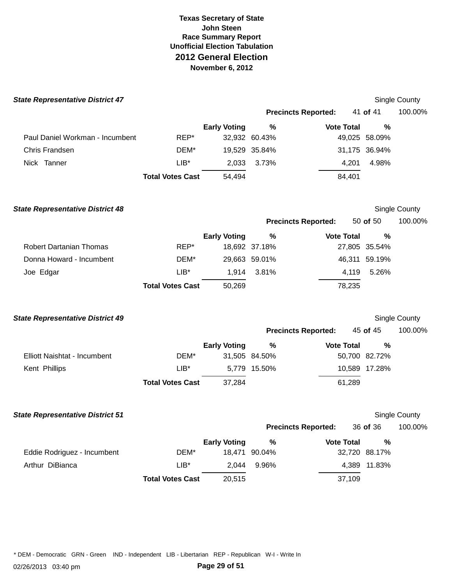| <b>State Representative District 47</b> |                         |                     |               |                            |               | <b>Single County</b> |
|-----------------------------------------|-------------------------|---------------------|---------------|----------------------------|---------------|----------------------|
|                                         |                         |                     |               | <b>Precincts Reported:</b> | 41 of 41      | 100.00%              |
|                                         |                         | <b>Early Voting</b> | %             | <b>Vote Total</b>          | %             |                      |
| Paul Daniel Workman - Incumbent         | REP*                    |                     | 32,932 60.43% |                            | 49,025 58.09% |                      |
| Chris Frandsen                          | DEM*                    |                     | 19,529 35.84% |                            | 31,175 36.94% |                      |
| Nick Tanner                             | $LIB*$                  | 2,033               | 3.73%         | 4,201                      | 4.98%         |                      |
|                                         | <b>Total Votes Cast</b> | 54,494              |               | 84,401                     |               |                      |
| <b>State Representative District 48</b> |                         |                     |               |                            |               | Single County        |
|                                         |                         |                     |               | <b>Precincts Reported:</b> | 50 of 50      | 100.00%              |
|                                         |                         | <b>Early Voting</b> | %             | <b>Vote Total</b>          | $\%$          |                      |
| <b>Robert Dartanian Thomas</b>          | REP*                    |                     | 18,692 37.18% |                            | 27,805 35.54% |                      |
| Donna Howard - Incumbent                | DEM*                    |                     | 29,663 59.01% |                            | 46,311 59.19% |                      |
| Joe Edgar                               | $LIB*$                  | 1,914               | 3.81%         | 4,119                      | 5.26%         |                      |
|                                         | <b>Total Votes Cast</b> | 50,269              |               | 78,235                     |               |                      |
| <b>State Representative District 49</b> |                         |                     |               |                            |               | Single County        |
|                                         |                         |                     |               | <b>Precincts Reported:</b> | 45 of 45      | 100.00%              |
|                                         |                         | <b>Early Voting</b> | %             | <b>Vote Total</b>          | %             |                      |
| Elliott Naishtat - Incumbent            | DEM*                    |                     | 31,505 84.50% |                            | 50,700 82.72% |                      |
| Kent Phillips                           | $LIB^*$                 |                     | 5,779 15.50%  |                            | 10,589 17.28% |                      |
|                                         | <b>Total Votes Cast</b> | 37,284              |               | 61,289                     |               |                      |
| <b>State Representative District 51</b> |                         |                     |               |                            |               | <b>Single County</b> |
|                                         |                         |                     |               | <b>Precincts Reported:</b> | 36 of 36      | 100.00%              |
|                                         |                         | <b>Early Voting</b> | $\%$          | <b>Vote Total</b>          | $\%$          |                      |
| Eddie Rodriguez - Incumbent             | DEM*                    |                     | 18,471 90.04% |                            | 32,720 88.17% |                      |
| Arthur DiBianca                         | $LIB*$                  | 2,044               | 9.96%         |                            | 4,389 11.83%  |                      |
|                                         | <b>Total Votes Cast</b> | 20,515              |               | 37,109                     |               |                      |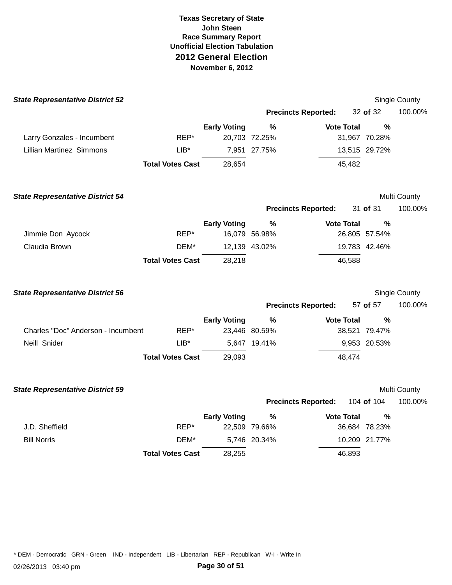| <b>State Representative District 52</b> |                         |                     |                            |                   |               | Single County |
|-----------------------------------------|-------------------------|---------------------|----------------------------|-------------------|---------------|---------------|
|                                         |                         |                     | <b>Precincts Reported:</b> |                   | 32 of 32      | 100.00%       |
|                                         |                         | <b>Early Voting</b> | %                          | <b>Vote Total</b> | $\frac{0}{0}$ |               |
| Larry Gonzales - Incumbent              | REP*                    |                     | 20,703 72.25%              |                   | 31,967 70.28% |               |
| <b>Lillian Martinez Simmons</b>         | LIB*                    |                     | 7,951 27.75%               |                   | 13,515 29.72% |               |
|                                         | <b>Total Votes Cast</b> | 28,654              |                            | 45,482            |               |               |
| <b>State Representative District 54</b> |                         |                     |                            |                   |               | Multi County  |
|                                         |                         |                     | <b>Precincts Reported:</b> |                   | 31 of 31      | 100.00%       |
|                                         |                         | <b>Early Voting</b> | %                          | <b>Vote Total</b> | $\%$          |               |
| Jimmie Don Aycock                       | REP*                    |                     | 16,079 56.98%              |                   | 26,805 57.54% |               |
| Claudia Brown                           | DEM*                    |                     | 12,139 43.02%              |                   | 19,783 42.46% |               |
|                                         | <b>Total Votes Cast</b> | 28,218              |                            | 46,588            |               |               |
| <b>State Representative District 56</b> |                         |                     |                            |                   |               | Single County |
|                                         |                         |                     | <b>Precincts Reported:</b> |                   | 57 of 57      | 100.00%       |
|                                         |                         | <b>Early Voting</b> | $\%$                       | <b>Vote Total</b> | $\frac{0}{0}$ |               |
| Charles "Doc" Anderson - Incumbent      | REP*                    |                     | 23,446 80.59%              |                   | 38,521 79.47% |               |
| Neill Snider                            | $LIB*$                  |                     | 5,647 19.41%               |                   | 9,953 20.53%  |               |
|                                         | <b>Total Votes Cast</b> | 29,093              |                            | 48,474            |               |               |
| <b>State Representative District 59</b> |                         |                     |                            |                   |               | Multi County  |
|                                         |                         |                     | <b>Precincts Reported:</b> |                   | 104 of 104    | 100.00%       |
|                                         |                         | <b>Early Voting</b> | %                          | <b>Vote Total</b> | $\frac{0}{0}$ |               |
| J.D. Sheffield                          | REP*                    |                     | 22,509 79.66%              |                   | 36,684 78.23% |               |
| <b>Bill Norris</b>                      | DEM*                    |                     | 5,746 20.34%               |                   | 10,209 21.77% |               |
|                                         | <b>Total Votes Cast</b> | 28,255              |                            | 46,893            |               |               |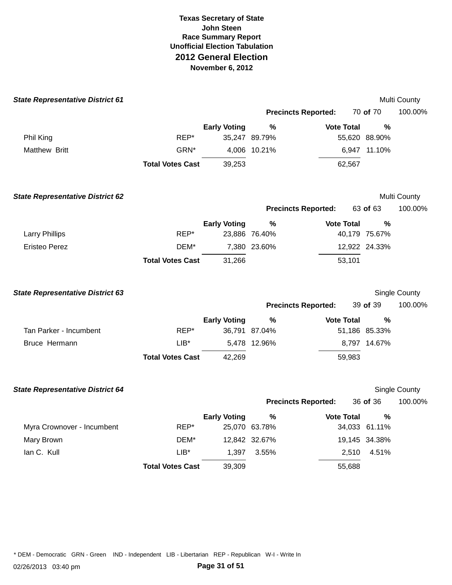| <b>State Representative District 61</b> |                         |                     |               |                            |        |               | Multi County  |
|-----------------------------------------|-------------------------|---------------------|---------------|----------------------------|--------|---------------|---------------|
|                                         |                         |                     |               | <b>Precincts Reported:</b> |        | 70 of 70      | 100.00%       |
|                                         |                         | <b>Early Voting</b> | $\frac{0}{0}$ | <b>Vote Total</b>          |        | %             |               |
| Phil King                               | REP*                    |                     | 35,247 89.79% |                            |        | 55,620 88.90% |               |
| Matthew Britt                           | GRN*                    |                     | 4,006 10.21%  |                            |        | 6,947 11.10%  |               |
|                                         | <b>Total Votes Cast</b> | 39,253              |               |                            | 62,567 |               |               |
| <b>State Representative District 62</b> |                         |                     |               |                            |        |               | Multi County  |
|                                         |                         |                     |               | <b>Precincts Reported:</b> |        | 63 of 63      | 100.00%       |
|                                         |                         | <b>Early Voting</b> | %             | <b>Vote Total</b>          |        | $\%$          |               |
| <b>Larry Phillips</b>                   | REP*                    |                     | 23,886 76.40% |                            |        | 40,179 75.67% |               |
| <b>Eristeo Perez</b>                    | DEM*                    |                     | 7,380 23.60%  |                            |        | 12,922 24.33% |               |
|                                         | <b>Total Votes Cast</b> | 31,266              |               |                            | 53,101 |               |               |
| <b>State Representative District 63</b> |                         |                     |               |                            |        |               | Single County |
|                                         |                         |                     |               | <b>Precincts Reported:</b> |        | 39 of 39      | 100.00%       |
|                                         |                         | <b>Early Voting</b> | $\frac{0}{0}$ | <b>Vote Total</b>          |        | %             |               |
| Tan Parker - Incumbent                  | REP*                    |                     | 36,791 87.04% |                            |        | 51,186 85.33% |               |
| Bruce Hermann                           | $LIB^*$                 |                     | 5,478 12.96%  |                            |        | 8,797 14.67%  |               |
|                                         | <b>Total Votes Cast</b> | 42,269              |               |                            | 59,983 |               |               |
| <b>State Representative District 64</b> |                         |                     |               |                            |        |               | Single County |
|                                         |                         |                     |               | <b>Precincts Reported:</b> |        | 36 of 36      | 100.00%       |
|                                         |                         | <b>Early Voting</b> | $\%$          | <b>Vote Total</b>          |        | %             |               |
| Myra Crownover - Incumbent              | REP*                    |                     | 25,070 63.78% |                            |        | 34,033 61.11% |               |
| Mary Brown                              | DEM*                    |                     | 12,842 32.67% |                            |        | 19,145 34.38% |               |
| lan C. Kull                             | $LIB*$                  | 1,397               | 3.55%         |                            | 2,510  | 4.51%         |               |
|                                         | <b>Total Votes Cast</b> | 39,309              |               |                            | 55,688 |               |               |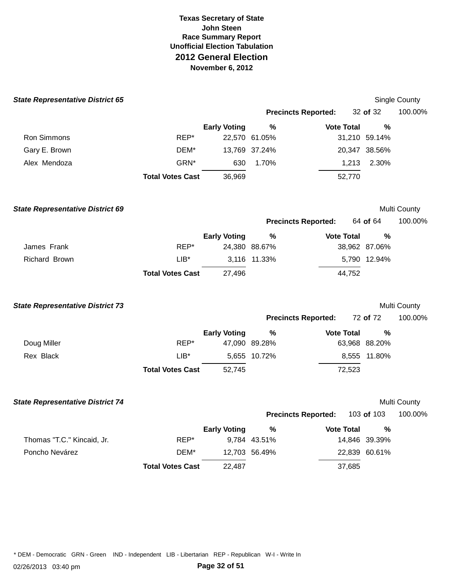| <b>State Representative District 65</b> |                         |                     |               |                            |               | Single County |
|-----------------------------------------|-------------------------|---------------------|---------------|----------------------------|---------------|---------------|
|                                         |                         |                     |               | <b>Precincts Reported:</b> | 32 of 32      | 100.00%       |
|                                         |                         | <b>Early Voting</b> | %             | <b>Vote Total</b>          | $\%$          |               |
| Ron Simmons                             | REP*                    |                     | 22,570 61.05% |                            | 31,210 59.14% |               |
| Gary E. Brown                           | DEM*                    |                     | 13,769 37.24% |                            | 20,347 38.56% |               |
| Alex Mendoza                            | GRN*                    | 630                 | 1.70%         | 1,213                      | 2.30%         |               |
|                                         | <b>Total Votes Cast</b> | 36,969              |               | 52,770                     |               |               |
| <b>State Representative District 69</b> |                         |                     |               |                            |               | Multi County  |
|                                         |                         |                     |               | <b>Precincts Reported:</b> | 64 of 64      | 100.00%       |
|                                         |                         | <b>Early Voting</b> | %             | <b>Vote Total</b>          | $\%$          |               |
| James Frank                             | REP*                    |                     | 24,380 88.67% |                            | 38,962 87.06% |               |
| <b>Richard Brown</b>                    | $LIB^*$                 |                     | 3,116 11.33%  |                            | 5,790 12.94%  |               |
|                                         | <b>Total Votes Cast</b> | 27,496              |               | 44,752                     |               |               |
| <b>State Representative District 73</b> |                         |                     |               |                            |               | Multi County  |
|                                         |                         |                     |               | <b>Precincts Reported:</b> | 72 of 72      | 100.00%       |
|                                         |                         | <b>Early Voting</b> | $\%$          | <b>Vote Total</b>          | %             |               |
| Doug Miller                             | REP*                    |                     | 47,090 89.28% |                            | 63,968 88.20% |               |
| Rex Black                               | $LIB^*$                 |                     | 5,655 10.72%  |                            | 8,555 11.80%  |               |
|                                         | <b>Total Votes Cast</b> | 52,745              |               | 72,523                     |               |               |
| <b>State Representative District 74</b> |                         |                     |               |                            |               | Multi County  |
|                                         |                         |                     |               | <b>Precincts Reported:</b> | 103 of 103    | 100.00%       |
|                                         |                         | <b>Early Voting</b> | $\%$          | <b>Vote Total</b>          | %             |               |
| Thomas "T.C." Kincaid, Jr.              | REP*                    |                     | 9,784 43.51%  |                            | 14,846 39.39% |               |
| Poncho Nevárez                          | DEM*                    |                     | 12,703 56.49% |                            | 22,839 60.61% |               |
|                                         | <b>Total Votes Cast</b> | 22,487              |               | 37,685                     |               |               |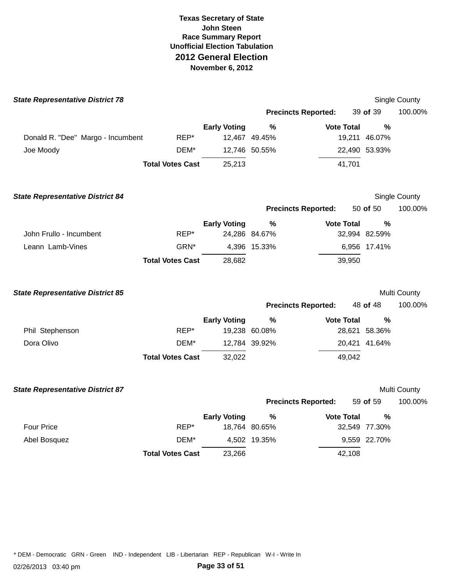| <b>State Representative District 78</b> |                         |                     |               |                            |        |               | Single County |
|-----------------------------------------|-------------------------|---------------------|---------------|----------------------------|--------|---------------|---------------|
|                                         |                         |                     |               | <b>Precincts Reported:</b> |        | 39 of 39      | 100.00%       |
|                                         |                         | <b>Early Voting</b> | $\%$          | <b>Vote Total</b>          |        | %             |               |
| Donald R. "Dee" Margo - Incumbent       | REP*                    |                     | 12,467 49.45% |                            |        | 19,211 46.07% |               |
| Joe Moody                               | DEM*                    |                     | 12,746 50.55% |                            |        | 22,490 53.93% |               |
|                                         | <b>Total Votes Cast</b> | 25,213              |               |                            | 41,701 |               |               |
| <b>State Representative District 84</b> |                         |                     |               |                            |        |               | Single County |
|                                         |                         |                     |               | <b>Precincts Reported:</b> |        | 50 of 50      | 100.00%       |
|                                         |                         | <b>Early Voting</b> | $\%$          | <b>Vote Total</b>          |        | $\frac{0}{0}$ |               |
| John Frullo - Incumbent                 | REP*                    |                     | 24,286 84.67% |                            |        | 32,994 82.59% |               |
| Leann Lamb-Vines                        | GRN*                    |                     | 4,396 15.33%  |                            |        | 6,956 17.41%  |               |
|                                         | <b>Total Votes Cast</b> | 28,682              |               |                            | 39,950 |               |               |
| <b>State Representative District 85</b> |                         |                     |               |                            |        |               | Multi County  |
|                                         |                         |                     |               | <b>Precincts Reported:</b> |        | 48 of 48      | 100.00%       |
|                                         |                         | <b>Early Voting</b> | $\%$          | <b>Vote Total</b>          |        | %             |               |
| Phil Stephenson                         | REP*                    |                     | 19,238 60.08% |                            |        | 28,621 58.36% |               |
| Dora Olivo                              | DEM*                    |                     | 12,784 39.92% |                            |        | 20,421 41.64% |               |
|                                         | <b>Total Votes Cast</b> | 32,022              |               |                            | 49,042 |               |               |
| <b>State Representative District 87</b> |                         |                     |               |                            |        |               | Multi County  |
|                                         |                         |                     |               | <b>Precincts Reported:</b> |        | 59 of 59      | 100.00%       |
|                                         |                         | <b>Early Voting</b> | $\%$          | <b>Vote Total</b>          |        | %             |               |
| Four Price                              | REP*                    |                     | 18,764 80.65% |                            |        | 32,549 77.30% |               |
| Abel Bosquez                            | DEM*                    |                     | 4,502 19.35%  |                            |        | 9,559 22.70%  |               |
|                                         | <b>Total Votes Cast</b> | 23,266              |               |                            | 42,108 |               |               |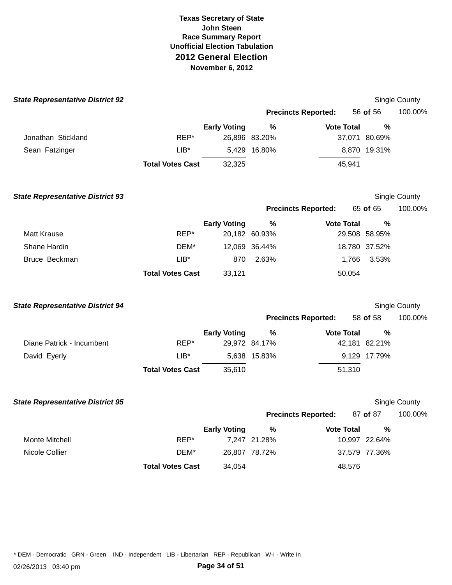| <b>Precincts Reported:</b><br>56 of 56<br>$\frac{9}{6}$<br><b>Early Voting</b><br><b>Vote Total</b><br>$\frac{0}{0}$<br>Jonathan Stickland<br>REP*<br>26,896 83.20%<br>37,071 80.69%<br>$LIB*$<br>5,429 16.80%<br>8,870 19.31%<br>Sean Fatzinger<br>45,941<br><b>Total Votes Cast</b><br>32,325<br><b>State Representative District 93</b><br>Single County<br>65 of 65<br><b>Precincts Reported:</b><br><b>Early Voting</b><br>$\%$<br><b>Vote Total</b><br>%<br><b>Matt Krause</b><br>REP*<br>20,182 60.93%<br>29,508 58.95%<br>Shane Hardin<br>12,069 36.44%<br>18,780 37.52%<br>DEM*<br>2.63%<br>3.53%<br>Bruce Beckman<br>$LIB^*$<br>870<br>1,766<br><b>Total Votes Cast</b><br>33,121<br>50,054<br>Single County<br><b>State Representative District 94</b><br><b>Precincts Reported:</b><br>58 of 58<br><b>Vote Total</b><br><b>Early Voting</b><br>%<br>%<br>REP*<br>29,972 84.17%<br>Diane Patrick - Incumbent<br>42,181 82.21%<br>David Eyerly<br>$LIB^*$<br>5,638 15.83%<br>9,129 17.79%<br><b>Total Votes Cast</b><br>35,610<br>51,310<br><b>State Representative District 95</b><br>Single County<br><b>Precincts Reported:</b><br>87 of 87<br><b>Early Voting</b><br><b>Vote Total</b><br>$\%$<br>%<br>REP*<br><b>Monte Mitchell</b><br>7,247 21.28%<br>10,997 22.64%<br>Nicole Collier<br>DEM*<br>26,807 78.72%<br>37,579 77.36%<br><b>Total Votes Cast</b><br>34,054<br>48,576 | <b>State Representative District 92</b> |  |  |  | <b>Single County</b> |
|------------------------------------------------------------------------------------------------------------------------------------------------------------------------------------------------------------------------------------------------------------------------------------------------------------------------------------------------------------------------------------------------------------------------------------------------------------------------------------------------------------------------------------------------------------------------------------------------------------------------------------------------------------------------------------------------------------------------------------------------------------------------------------------------------------------------------------------------------------------------------------------------------------------------------------------------------------------------------------------------------------------------------------------------------------------------------------------------------------------------------------------------------------------------------------------------------------------------------------------------------------------------------------------------------------------------------------------------------------------------------------------------|-----------------------------------------|--|--|--|----------------------|
|                                                                                                                                                                                                                                                                                                                                                                                                                                                                                                                                                                                                                                                                                                                                                                                                                                                                                                                                                                                                                                                                                                                                                                                                                                                                                                                                                                                                |                                         |  |  |  | 100.00%              |
|                                                                                                                                                                                                                                                                                                                                                                                                                                                                                                                                                                                                                                                                                                                                                                                                                                                                                                                                                                                                                                                                                                                                                                                                                                                                                                                                                                                                |                                         |  |  |  |                      |
|                                                                                                                                                                                                                                                                                                                                                                                                                                                                                                                                                                                                                                                                                                                                                                                                                                                                                                                                                                                                                                                                                                                                                                                                                                                                                                                                                                                                |                                         |  |  |  |                      |
|                                                                                                                                                                                                                                                                                                                                                                                                                                                                                                                                                                                                                                                                                                                                                                                                                                                                                                                                                                                                                                                                                                                                                                                                                                                                                                                                                                                                |                                         |  |  |  |                      |
|                                                                                                                                                                                                                                                                                                                                                                                                                                                                                                                                                                                                                                                                                                                                                                                                                                                                                                                                                                                                                                                                                                                                                                                                                                                                                                                                                                                                |                                         |  |  |  |                      |
|                                                                                                                                                                                                                                                                                                                                                                                                                                                                                                                                                                                                                                                                                                                                                                                                                                                                                                                                                                                                                                                                                                                                                                                                                                                                                                                                                                                                |                                         |  |  |  |                      |
|                                                                                                                                                                                                                                                                                                                                                                                                                                                                                                                                                                                                                                                                                                                                                                                                                                                                                                                                                                                                                                                                                                                                                                                                                                                                                                                                                                                                |                                         |  |  |  | 100.00%              |
|                                                                                                                                                                                                                                                                                                                                                                                                                                                                                                                                                                                                                                                                                                                                                                                                                                                                                                                                                                                                                                                                                                                                                                                                                                                                                                                                                                                                |                                         |  |  |  |                      |
|                                                                                                                                                                                                                                                                                                                                                                                                                                                                                                                                                                                                                                                                                                                                                                                                                                                                                                                                                                                                                                                                                                                                                                                                                                                                                                                                                                                                |                                         |  |  |  |                      |
|                                                                                                                                                                                                                                                                                                                                                                                                                                                                                                                                                                                                                                                                                                                                                                                                                                                                                                                                                                                                                                                                                                                                                                                                                                                                                                                                                                                                |                                         |  |  |  |                      |
|                                                                                                                                                                                                                                                                                                                                                                                                                                                                                                                                                                                                                                                                                                                                                                                                                                                                                                                                                                                                                                                                                                                                                                                                                                                                                                                                                                                                |                                         |  |  |  |                      |
|                                                                                                                                                                                                                                                                                                                                                                                                                                                                                                                                                                                                                                                                                                                                                                                                                                                                                                                                                                                                                                                                                                                                                                                                                                                                                                                                                                                                |                                         |  |  |  |                      |
|                                                                                                                                                                                                                                                                                                                                                                                                                                                                                                                                                                                                                                                                                                                                                                                                                                                                                                                                                                                                                                                                                                                                                                                                                                                                                                                                                                                                |                                         |  |  |  |                      |
|                                                                                                                                                                                                                                                                                                                                                                                                                                                                                                                                                                                                                                                                                                                                                                                                                                                                                                                                                                                                                                                                                                                                                                                                                                                                                                                                                                                                |                                         |  |  |  | 100.00%              |
|                                                                                                                                                                                                                                                                                                                                                                                                                                                                                                                                                                                                                                                                                                                                                                                                                                                                                                                                                                                                                                                                                                                                                                                                                                                                                                                                                                                                |                                         |  |  |  |                      |
|                                                                                                                                                                                                                                                                                                                                                                                                                                                                                                                                                                                                                                                                                                                                                                                                                                                                                                                                                                                                                                                                                                                                                                                                                                                                                                                                                                                                |                                         |  |  |  |                      |
|                                                                                                                                                                                                                                                                                                                                                                                                                                                                                                                                                                                                                                                                                                                                                                                                                                                                                                                                                                                                                                                                                                                                                                                                                                                                                                                                                                                                |                                         |  |  |  |                      |
|                                                                                                                                                                                                                                                                                                                                                                                                                                                                                                                                                                                                                                                                                                                                                                                                                                                                                                                                                                                                                                                                                                                                                                                                                                                                                                                                                                                                |                                         |  |  |  |                      |
|                                                                                                                                                                                                                                                                                                                                                                                                                                                                                                                                                                                                                                                                                                                                                                                                                                                                                                                                                                                                                                                                                                                                                                                                                                                                                                                                                                                                |                                         |  |  |  |                      |
|                                                                                                                                                                                                                                                                                                                                                                                                                                                                                                                                                                                                                                                                                                                                                                                                                                                                                                                                                                                                                                                                                                                                                                                                                                                                                                                                                                                                |                                         |  |  |  | 100.00%              |
|                                                                                                                                                                                                                                                                                                                                                                                                                                                                                                                                                                                                                                                                                                                                                                                                                                                                                                                                                                                                                                                                                                                                                                                                                                                                                                                                                                                                |                                         |  |  |  |                      |
|                                                                                                                                                                                                                                                                                                                                                                                                                                                                                                                                                                                                                                                                                                                                                                                                                                                                                                                                                                                                                                                                                                                                                                                                                                                                                                                                                                                                |                                         |  |  |  |                      |
|                                                                                                                                                                                                                                                                                                                                                                                                                                                                                                                                                                                                                                                                                                                                                                                                                                                                                                                                                                                                                                                                                                                                                                                                                                                                                                                                                                                                |                                         |  |  |  |                      |
|                                                                                                                                                                                                                                                                                                                                                                                                                                                                                                                                                                                                                                                                                                                                                                                                                                                                                                                                                                                                                                                                                                                                                                                                                                                                                                                                                                                                |                                         |  |  |  |                      |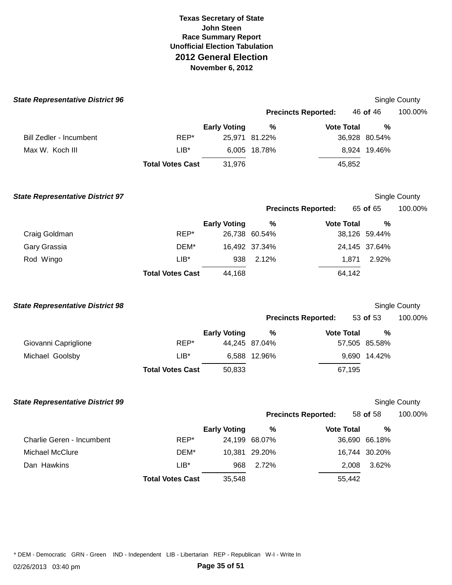| <b>State Representative District 96</b> |                         |                     |               |                            |               | Single County        |
|-----------------------------------------|-------------------------|---------------------|---------------|----------------------------|---------------|----------------------|
|                                         |                         |                     |               | <b>Precincts Reported:</b> | 46 of 46      | 100.00%              |
|                                         |                         | <b>Early Voting</b> | $\%$          | <b>Vote Total</b>          | %             |                      |
| <b>Bill Zedler - Incumbent</b>          | REP*                    |                     | 25,971 81.22% |                            | 36,928 80.54% |                      |
| Max W. Koch III                         | $LIB*$                  |                     | 6,005 18.78%  |                            | 8,924 19.46%  |                      |
|                                         | <b>Total Votes Cast</b> | 31,976              |               | 45,852                     |               |                      |
| <b>State Representative District 97</b> |                         |                     |               |                            |               | Single County        |
|                                         |                         |                     |               | <b>Precincts Reported:</b> | 65 of 65      | 100.00%              |
|                                         |                         | <b>Early Voting</b> | %             | <b>Vote Total</b>          | %             |                      |
| Craig Goldman                           | REP*                    |                     | 26,738 60.54% |                            | 38,126 59.44% |                      |
| Gary Grassia                            | DEM*                    |                     | 16,492 37.34% |                            | 24,145 37.64% |                      |
| Rod Wingo                               | $LIB^*$                 | 938                 | 2.12%         | 1,871                      | 2.92%         |                      |
|                                         | <b>Total Votes Cast</b> | 44,168              |               | 64,142                     |               |                      |
| <b>State Representative District 98</b> |                         |                     |               |                            |               | Single County        |
|                                         |                         |                     |               | <b>Precincts Reported:</b> | 53 of 53      | 100.00%              |
|                                         |                         | <b>Early Voting</b> | %             | <b>Vote Total</b>          | %             |                      |
| Giovanni Capriglione                    | REP*                    |                     | 44,245 87.04% |                            | 57,505 85.58% |                      |
| Michael Goolsby                         | $LIB^*$                 |                     | 6,588 12.96%  |                            | 9,690 14.42%  |                      |
|                                         | <b>Total Votes Cast</b> | 50,833              |               | 67,195                     |               |                      |
| <b>State Representative District 99</b> |                         |                     |               |                            |               | <b>Single County</b> |
|                                         |                         |                     |               | <b>Precincts Reported:</b> | 58 of 58      | 100.00%              |
|                                         |                         | <b>Early Voting</b> | %             | <b>Vote Total</b>          | $\%$          |                      |
| Charlie Geren - Incumbent               | REP*                    |                     | 24,199 68.07% |                            | 36,690 66.18% |                      |
| Michael McClure                         | DEM*                    | 10,381              | 29.20%        |                            | 16,744 30.20% |                      |
| Dan Hawkins                             | $LIB*$                  | 968                 | 2.72%         | 2,008                      | 3.62%         |                      |
|                                         | <b>Total Votes Cast</b> | 35,548              |               | 55,442                     |               |                      |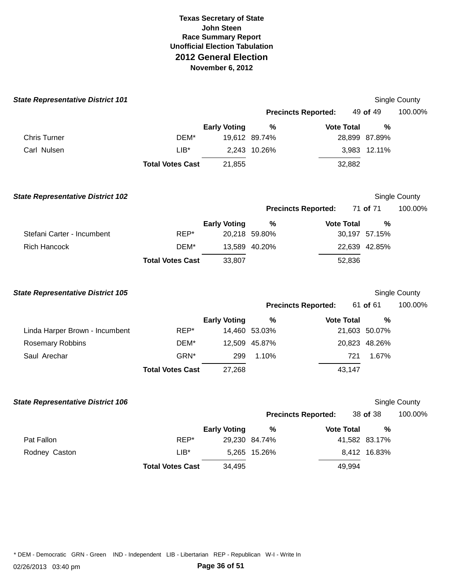| <b>State Representative District 101</b> |                         |                     |                       |                            |                    | Single County |
|------------------------------------------|-------------------------|---------------------|-----------------------|----------------------------|--------------------|---------------|
|                                          |                         |                     |                       | <b>Precincts Reported:</b> | 49 of 49           | 100.00%       |
|                                          |                         | <b>Early Voting</b> | %                     | <b>Vote Total</b>          | $\%$               |               |
| <b>Chris Turner</b>                      | DEM*                    |                     | 19,612 89.74%         |                            | 28,899 87.89%      |               |
| Carl Nulsen                              | $LIB^*$                 |                     | 2,243 10.26%          |                            | 3,983 12.11%       |               |
|                                          | <b>Total Votes Cast</b> | 21,855              |                       | 32,882                     |                    |               |
| <b>State Representative District 102</b> |                         |                     |                       |                            |                    | Single County |
|                                          |                         |                     |                       | <b>Precincts Reported:</b> | 71 of 71           | 100.00%       |
| Stefani Carter - Incumbent               | REP*                    | <b>Early Voting</b> | $\%$<br>20,218 59.80% | <b>Vote Total</b>          | %<br>30,197 57.15% |               |
| <b>Rich Hancock</b>                      | DEM*                    |                     | 13,589 40.20%         |                            | 22,639 42.85%      |               |
|                                          | <b>Total Votes Cast</b> | 33,807              |                       | 52,836                     |                    |               |
| <b>State Representative District 105</b> |                         |                     |                       |                            |                    | Single County |
|                                          |                         |                     |                       | <b>Precincts Reported:</b> | 61 of 61           | 100.00%       |
|                                          |                         | <b>Early Voting</b> | $\%$                  | <b>Vote Total</b>          | %                  |               |
| Linda Harper Brown - Incumbent           | REP*                    |                     | 14,460 53.03%         |                            | 21,603 50.07%      |               |
| <b>Rosemary Robbins</b>                  | DEM*                    |                     | 12,509 45.87%         |                            | 20,823 48.26%      |               |
| Saul Arechar                             | GRN*                    | 299                 | 1.10%                 | 721                        | 1.67%              |               |
|                                          | <b>Total Votes Cast</b> | 27,268              |                       | 43,147                     |                    |               |
| <b>State Representative District 106</b> |                         |                     |                       |                            |                    | Single County |
|                                          |                         |                     |                       | <b>Precincts Reported:</b> | 38 of 38           | 100.00%       |
|                                          |                         | <b>Early Voting</b> | $\%$                  | <b>Vote Total</b>          | %                  |               |
| Pat Fallon                               | REP*                    |                     | 29,230 84.74%         |                            | 41,582 83.17%      |               |
| Rodney Caston                            | $LIB*$                  |                     | 5,265 15.26%          |                            | 8,412 16.83%       |               |
|                                          | <b>Total Votes Cast</b> | 34,495              |                       | 49,994                     |                    |               |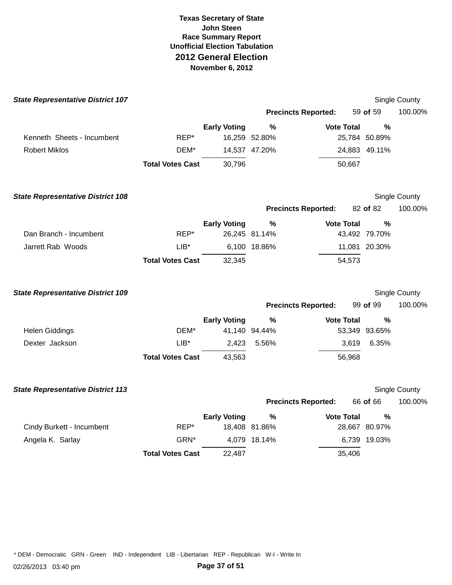| <b>State Representative District 107</b> |                         |                     |                            |                   |               | Single County |
|------------------------------------------|-------------------------|---------------------|----------------------------|-------------------|---------------|---------------|
|                                          |                         |                     | <b>Precincts Reported:</b> |                   | 59 of 59      | 100.00%       |
|                                          |                         | <b>Early Voting</b> | %                          | <b>Vote Total</b> | $\%$          |               |
| Kenneth Sheets - Incumbent               | REP*                    |                     | 16,259 52.80%              |                   | 25,784 50.89% |               |
| <b>Robert Miklos</b>                     | DEM*                    |                     | 14,537 47.20%              |                   | 24,883 49.11% |               |
|                                          | <b>Total Votes Cast</b> | 30,796              |                            | 50,667            |               |               |
| <b>State Representative District 108</b> |                         |                     |                            |                   |               | Single County |
|                                          |                         |                     | <b>Precincts Reported:</b> |                   | 82 of 82      | 100.00%       |
|                                          |                         | <b>Early Voting</b> | %                          | <b>Vote Total</b> | $\frac{0}{0}$ |               |
| Dan Branch - Incumbent                   | REP*                    |                     | 26,245 81.14%              |                   | 43,492 79.70% |               |
| Jarrett Rab Woods                        | $LIB*$                  |                     | 6,100 18.86%               |                   | 11,081 20.30% |               |
|                                          | <b>Total Votes Cast</b> | 32,345              |                            | 54,573            |               |               |
| <b>State Representative District 109</b> |                         |                     |                            |                   |               | Single County |
|                                          |                         |                     | <b>Precincts Reported:</b> |                   | 99 of 99      | 100.00%       |
|                                          |                         | <b>Early Voting</b> | $\%$                       | <b>Vote Total</b> | $\frac{0}{0}$ |               |
| <b>Helen Giddings</b>                    | DEM*                    |                     | 41,140 94.44%              |                   | 53,349 93.65% |               |
| Dexter Jackson                           | $LIB^*$                 |                     | 2,423 5.56%                | 3,619             | 6.35%         |               |
|                                          | <b>Total Votes Cast</b> | 43,563              |                            | 56,968            |               |               |
| <b>State Representative District 113</b> |                         |                     |                            |                   |               | Single County |
|                                          |                         |                     | <b>Precincts Reported:</b> |                   | 66 of 66      | 100.00%       |
|                                          |                         | <b>Early Voting</b> | %                          | <b>Vote Total</b> | $\%$          |               |
| Cindy Burkett - Incumbent                | REP*                    |                     | 18,408 81.86%              |                   | 28,667 80.97% |               |
| Angela K. Sarlay                         | GRN*                    |                     | 4,079 18.14%               |                   | 6,739 19.03%  |               |
|                                          | <b>Total Votes Cast</b> | 22,487              |                            | 35,406            |               |               |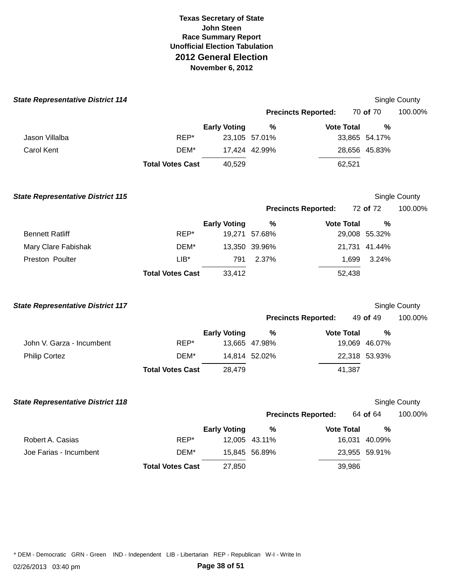| <b>State Representative District 114</b> |                         |                     |               |                            |               | Single County |
|------------------------------------------|-------------------------|---------------------|---------------|----------------------------|---------------|---------------|
|                                          |                         |                     |               | <b>Precincts Reported:</b> | 70 of 70      | 100.00%       |
|                                          |                         | <b>Early Voting</b> | $\%$          | <b>Vote Total</b>          | %             |               |
| Jason Villalba                           | REP*                    |                     | 23,105 57.01% |                            | 33,865 54.17% |               |
| <b>Carol Kent</b>                        | DEM*                    |                     | 17,424 42.99% |                            | 28,656 45.83% |               |
|                                          | <b>Total Votes Cast</b> | 40,529              |               | 62,521                     |               |               |
| <b>State Representative District 115</b> |                         |                     |               |                            |               | Single County |
|                                          |                         |                     |               | <b>Precincts Reported:</b> | 72 of 72      | 100.00%       |
|                                          |                         | <b>Early Voting</b> | %             | <b>Vote Total</b>          | %             |               |
| <b>Bennett Ratliff</b>                   | REP*                    |                     | 19,271 57.68% |                            | 29,008 55.32% |               |
| Mary Clare Fabishak                      | DEM*                    |                     | 13,350 39.96% |                            | 21,731 41.44% |               |
| Preston Poulter                          | $LIB*$                  | 791                 | 2.37%         | 1,699                      | 3.24%         |               |
|                                          | <b>Total Votes Cast</b> | 33,412              |               | 52,438                     |               |               |
| <b>State Representative District 117</b> |                         |                     |               |                            |               | Single County |
|                                          |                         |                     |               | <b>Precincts Reported:</b> | 49 of 49      | 100.00%       |
|                                          |                         | <b>Early Voting</b> | %             | <b>Vote Total</b>          | %             |               |
| John V. Garza - Incumbent                | REP*                    |                     | 13,665 47.98% |                            | 19,069 46.07% |               |
| <b>Philip Cortez</b>                     | DEM*                    |                     | 14,814 52.02% |                            | 22,318 53.93% |               |
|                                          | <b>Total Votes Cast</b> | 28,479              |               | 41,387                     |               |               |
| <b>State Representative District 118</b> |                         |                     |               |                            |               | Single County |
|                                          |                         |                     |               | <b>Precincts Reported:</b> | 64 of 64      | 100.00%       |
|                                          |                         | <b>Early Voting</b> | %             | <b>Vote Total</b>          | %             |               |
| Robert A. Casias                         | REP*                    |                     | 12,005 43.11% |                            | 16,031 40.09% |               |
| Joe Farias - Incumbent                   | DEM*                    |                     | 15,845 56.89% |                            | 23,955 59.91% |               |
|                                          | <b>Total Votes Cast</b> | 27,850              |               | 39,986                     |               |               |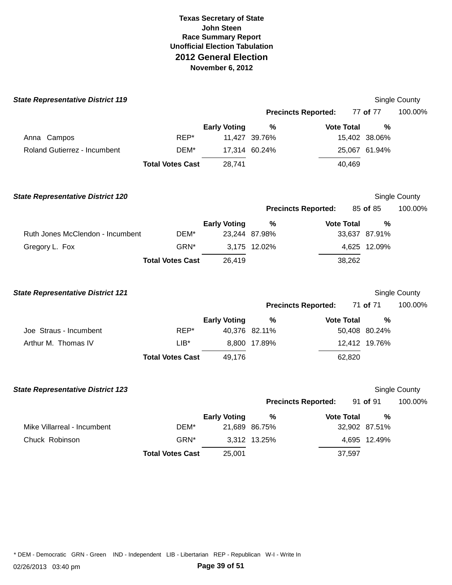| <b>State Representative District 119</b> |                         |                     |                            |                   |               | Single County |
|------------------------------------------|-------------------------|---------------------|----------------------------|-------------------|---------------|---------------|
|                                          |                         |                     | <b>Precincts Reported:</b> |                   | 77 of 77      | 100.00%       |
|                                          |                         | <b>Early Voting</b> | %                          | <b>Vote Total</b> | $\frac{0}{0}$ |               |
| Anna Campos                              | REP*                    |                     | 11,427 39.76%              |                   | 15,402 38.06% |               |
| Roland Gutierrez - Incumbent             | DEM*                    |                     | 17,314 60.24%              |                   | 25,067 61.94% |               |
|                                          | <b>Total Votes Cast</b> | 28,741              |                            | 40,469            |               |               |
| <b>State Representative District 120</b> |                         |                     |                            |                   |               | Single County |
|                                          |                         |                     | <b>Precincts Reported:</b> |                   | 85 of 85      | 100.00%       |
|                                          |                         | <b>Early Voting</b> | %                          | <b>Vote Total</b> | $\%$          |               |
| Ruth Jones McClendon - Incumbent         | DEM*                    |                     | 23,244 87.98%              |                   | 33,637 87.91% |               |
| Gregory L. Fox                           | GRN*                    |                     | 3,175 12.02%               |                   | 4,625 12.09%  |               |
|                                          | <b>Total Votes Cast</b> | 26,419              |                            | 38,262            |               |               |
| <b>State Representative District 121</b> |                         |                     |                            |                   |               | Single County |
|                                          |                         |                     | <b>Precincts Reported:</b> |                   | 71 of 71      | 100.00%       |
|                                          |                         | <b>Early Voting</b> | %                          | <b>Vote Total</b> | $\%$          |               |
| Joe Straus - Incumbent                   | REP*                    |                     | 40,376 82.11%              |                   | 50,408 80.24% |               |
| Arthur M. Thomas IV                      | $LIB*$                  |                     | 8,800 17.89%               |                   | 12,412 19.76% |               |
|                                          | <b>Total Votes Cast</b> | 49,176              |                            | 62,820            |               |               |
| <b>State Representative District 123</b> |                         |                     |                            |                   |               | Single County |
|                                          |                         |                     | <b>Precincts Reported:</b> |                   | 91 of 91      | 100.00%       |
|                                          |                         | <b>Early Voting</b> | %                          | <b>Vote Total</b> | $\%$          |               |
| Mike Villarreal - Incumbent              | DEM*                    |                     | 21,689 86.75%              |                   | 32,902 87.51% |               |
| Chuck Robinson                           | GRN*                    |                     | 3,312 13.25%               |                   | 4,695 12.49%  |               |
|                                          | <b>Total Votes Cast</b> | 25,001              |                            | 37,597            |               |               |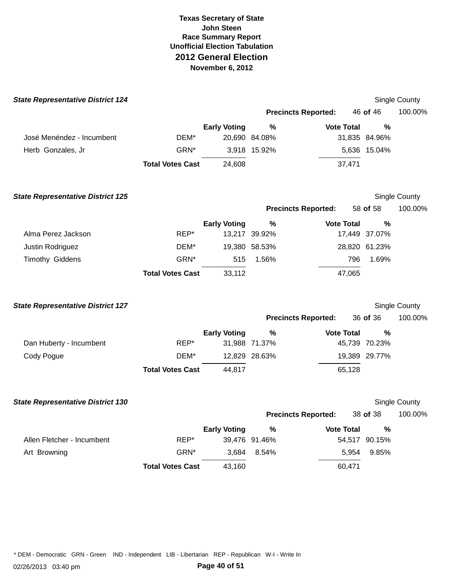| <b>State Representative District 124</b> |                         |                     |               |                            |               | <b>Single County</b> |
|------------------------------------------|-------------------------|---------------------|---------------|----------------------------|---------------|----------------------|
|                                          |                         |                     |               | <b>Precincts Reported:</b> | 46 of 46      | 100.00%              |
|                                          |                         | <b>Early Voting</b> | $\%$          | <b>Vote Total</b>          | %             |                      |
| José Menéndez - Incumbent                | DEM*                    |                     | 20,690 84.08% |                            | 31,835 84.96% |                      |
| Herb Gonzales, Jr                        | GRN*                    |                     | 3,918 15.92%  |                            | 5,636 15.04%  |                      |
|                                          | <b>Total Votes Cast</b> | 24,608              |               | 37,471                     |               |                      |
| <b>State Representative District 125</b> |                         |                     |               |                            |               | Single County        |
|                                          |                         |                     |               | <b>Precincts Reported:</b> | 58 of 58      | 100.00%              |
|                                          |                         | <b>Early Voting</b> | %             | <b>Vote Total</b>          | %             |                      |
| Alma Perez Jackson                       | REP*                    |                     | 13,217 39.92% |                            | 17,449 37.07% |                      |
| Justin Rodriguez                         | DEM*                    |                     | 19,380 58.53% |                            | 28,820 61.23% |                      |
| Timothy Giddens                          | GRN*                    | 515                 | 1.56%         | 796                        | 1.69%         |                      |
|                                          | <b>Total Votes Cast</b> | 33,112              |               | 47,065                     |               |                      |
| <b>State Representative District 127</b> |                         |                     |               |                            |               | Single County        |
|                                          |                         |                     |               | <b>Precincts Reported:</b> | 36 of 36      | 100.00%              |
|                                          |                         | <b>Early Voting</b> | %             | <b>Vote Total</b>          | %             |                      |
| Dan Huberty - Incumbent                  | REP*                    |                     | 31,988 71.37% |                            | 45,739 70.23% |                      |
| Cody Pogue                               | DEM*                    |                     | 12,829 28.63% |                            | 19,389 29.77% |                      |
|                                          | <b>Total Votes Cast</b> | 44,817              |               | 65,128                     |               |                      |
| <b>State Representative District 130</b> |                         |                     |               |                            |               | Single County        |
|                                          |                         |                     |               | <b>Precincts Reported:</b> | 38 of 38      | 100.00%              |
|                                          |                         | <b>Early Voting</b> | %             | <b>Vote Total</b>          | %             |                      |
| Allen Fletcher - Incumbent               | REP*                    |                     | 39,476 91.46% |                            | 54,517 90.15% |                      |
| Art Browning                             | GRN <sup>*</sup>        | 3,684               | 8.54%         | 5,954                      | 9.85%         |                      |
|                                          | <b>Total Votes Cast</b> | 43,160              |               | 60,471                     |               |                      |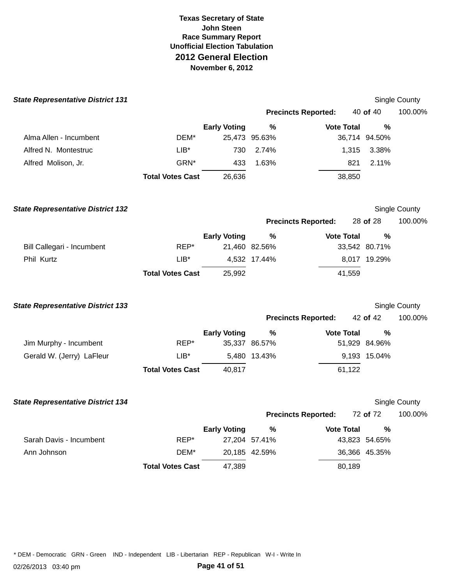| <b>State Representative District 131</b> |                         |                     |               |                            |               | Single County |
|------------------------------------------|-------------------------|---------------------|---------------|----------------------------|---------------|---------------|
|                                          |                         |                     |               | <b>Precincts Reported:</b> | 40 of 40      | 100.00%       |
|                                          |                         | <b>Early Voting</b> | $\frac{0}{0}$ | <b>Vote Total</b>          | %             |               |
| Alma Allen - Incumbent                   | DEM*                    |                     | 25,473 95.63% |                            | 36,714 94.50% |               |
| Alfred N. Montestruc                     | $LIB*$                  | 730                 | 2.74%         | 1,315                      | 3.38%         |               |
| Alfred Molison, Jr.                      | GRN*                    | 433                 | 1.63%         | 821                        | 2.11%         |               |
|                                          | <b>Total Votes Cast</b> | 26,636              |               | 38,850                     |               |               |
| <b>State Representative District 132</b> |                         |                     |               |                            |               | Single County |
|                                          |                         |                     |               | <b>Precincts Reported:</b> | 28 of 28      | 100.00%       |
|                                          |                         | <b>Early Voting</b> | %             | <b>Vote Total</b>          | $\frac{0}{0}$ |               |
| Bill Callegari - Incumbent               | REP*                    |                     | 21,460 82.56% |                            | 33,542 80.71% |               |
| Phil Kurtz                               | $LIB^*$                 |                     | 4,532 17.44%  |                            | 8,017 19.29%  |               |
|                                          | <b>Total Votes Cast</b> | 25,992              |               | 41,559                     |               |               |
| <b>State Representative District 133</b> |                         |                     |               |                            |               | Single County |
|                                          |                         |                     |               | <b>Precincts Reported:</b> | 42 of 42      | 100.00%       |
|                                          |                         | <b>Early Voting</b> | $\frac{0}{0}$ | <b>Vote Total</b>          | $\frac{0}{0}$ |               |
| Jim Murphy - Incumbent                   | REP*                    |                     | 35,337 86.57% |                            | 51,929 84.96% |               |
| Gerald W. (Jerry) LaFleur                | $LIB*$                  |                     | 5,480 13.43%  |                            | 9,193 15.04%  |               |
|                                          | <b>Total Votes Cast</b> | 40,817              |               | 61,122                     |               |               |
| <b>State Representative District 134</b> |                         |                     |               |                            |               | Single County |
|                                          |                         |                     |               | <b>Precincts Reported:</b> | 72 of 72      | 100.00%       |
|                                          |                         | <b>Early Voting</b> | %             | <b>Vote Total</b>          | %             |               |
| Sarah Davis - Incumbent                  | REP*                    |                     | 27,204 57.41% |                            | 43,823 54.65% |               |
| Ann Johnson                              | DEM*                    |                     | 20,185 42.59% |                            | 36,366 45.35% |               |
|                                          | <b>Total Votes Cast</b> | 47,389              |               | 80,189                     |               |               |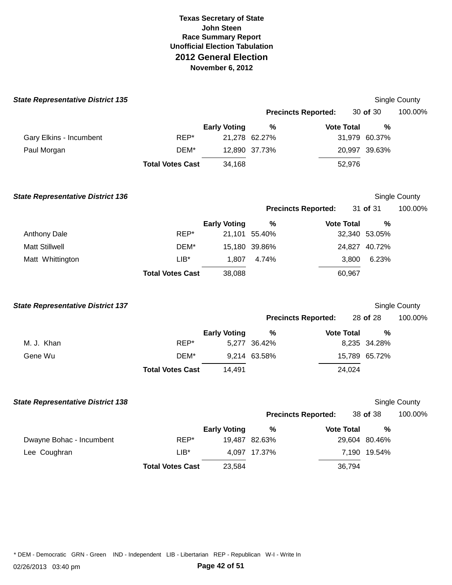| <b>State Representative District 135</b> |                         |                     |               |                            |        |               | Single County |
|------------------------------------------|-------------------------|---------------------|---------------|----------------------------|--------|---------------|---------------|
|                                          |                         |                     |               | <b>Precincts Reported:</b> |        | 30 of 30      | 100.00%       |
|                                          |                         | <b>Early Voting</b> | $\%$          | <b>Vote Total</b>          |        | %             |               |
| Gary Elkins - Incumbent                  | REP*                    |                     | 21,278 62.27% |                            |        | 31,979 60.37% |               |
| Paul Morgan                              | DEM*                    |                     | 12,890 37.73% |                            |        | 20,997 39.63% |               |
|                                          | <b>Total Votes Cast</b> | 34,168              |               |                            | 52,976 |               |               |
| <b>State Representative District 136</b> |                         |                     |               |                            |        |               | Single County |
|                                          |                         |                     |               | <b>Precincts Reported:</b> |        | 31 of 31      | 100.00%       |
|                                          |                         | <b>Early Voting</b> | %             | <b>Vote Total</b>          |        | %             |               |
| <b>Anthony Dale</b>                      | REP*                    |                     | 21,101 55.40% |                            |        | 32,340 53.05% |               |
| <b>Matt Stillwell</b>                    | DEM*                    |                     | 15,180 39.86% |                            |        | 24,827 40.72% |               |
| Matt Whittington                         | $LIB*$                  | 1,807               | 4.74%         |                            | 3,800  | 6.23%         |               |
|                                          | <b>Total Votes Cast</b> | 38,088              |               |                            | 60,967 |               |               |
| <b>State Representative District 137</b> |                         |                     |               |                            |        |               | Single County |
|                                          |                         |                     |               | <b>Precincts Reported:</b> |        | 28 of 28      | 100.00%       |
|                                          |                         | <b>Early Voting</b> | $\%$          | <b>Vote Total</b>          |        | %             |               |
| M. J. Khan                               | REP*                    |                     | 5,277 36.42%  |                            |        | 8,235 34.28%  |               |
| Gene Wu                                  | DEM*                    |                     | 9,214 63.58%  |                            |        | 15,789 65.72% |               |
|                                          | <b>Total Votes Cast</b> | 14,491              |               |                            | 24,024 |               |               |
| <b>State Representative District 138</b> |                         |                     |               |                            |        |               | Single County |
|                                          |                         |                     |               | <b>Precincts Reported:</b> |        | 38 of 38      | 100.00%       |
|                                          |                         | <b>Early Voting</b> | $\%$          | <b>Vote Total</b>          |        | $\%$          |               |
| Dwayne Bohac - Incumbent                 | REP*                    |                     | 19,487 82.63% |                            |        | 29,604 80.46% |               |
| Lee Coughran                             | $LIB*$                  |                     | 4,097 17.37%  |                            |        | 7,190 19.54%  |               |
|                                          | <b>Total Votes Cast</b> | 23,584              |               |                            | 36,794 |               |               |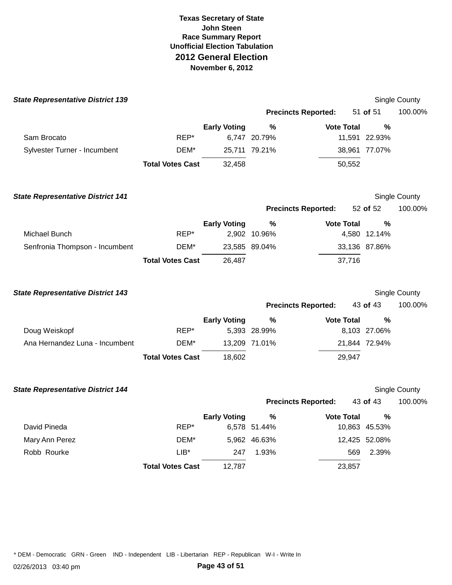| <b>State Representative District 139</b> |                         |                     |               |                            |               | Single County |
|------------------------------------------|-------------------------|---------------------|---------------|----------------------------|---------------|---------------|
|                                          |                         |                     |               | <b>Precincts Reported:</b> | 51 of 51      | 100.00%       |
|                                          |                         | <b>Early Voting</b> | %             | <b>Vote Total</b>          | $\frac{0}{0}$ |               |
| Sam Brocato                              | REP*                    |                     | 6,747 20.79%  |                            | 11,591 22.93% |               |
| Sylvester Turner - Incumbent             | DEM*                    |                     | 25,711 79.21% |                            | 38,961 77.07% |               |
|                                          | <b>Total Votes Cast</b> | 32,458              |               | 50,552                     |               |               |
| <b>State Representative District 141</b> |                         |                     |               |                            |               | Single County |
|                                          |                         |                     |               | <b>Precincts Reported:</b> | 52 of 52      | 100.00%       |
|                                          |                         | <b>Early Voting</b> | $\%$          | <b>Vote Total</b>          | %             |               |
| Michael Bunch                            | REP*                    |                     | 2,902 10.96%  |                            | 4,580 12.14%  |               |
| Senfronia Thompson - Incumbent           | DEM*                    |                     | 23,585 89.04% |                            | 33,136 87.86% |               |
|                                          | <b>Total Votes Cast</b> | 26,487              |               | 37,716                     |               |               |
| <b>State Representative District 143</b> |                         |                     |               |                            |               | Single County |
|                                          |                         |                     |               | <b>Precincts Reported:</b> | 43 of 43      | 100.00%       |
|                                          |                         | <b>Early Voting</b> | %             | <b>Vote Total</b>          | $\frac{0}{0}$ |               |
| Doug Weiskopf                            | REP*                    |                     | 5,393 28.99%  |                            | 8,103 27.06%  |               |
| Ana Hernandez Luna - Incumbent           | DEM*                    |                     | 13,209 71.01% |                            | 21,844 72.94% |               |
|                                          | <b>Total Votes Cast</b> | 18,602              |               | 29,947                     |               |               |
| <b>State Representative District 144</b> |                         |                     |               |                            |               | Single County |
|                                          |                         |                     |               | <b>Precincts Reported:</b> | 43 of 43      | 100.00%       |
|                                          |                         | <b>Early Voting</b> | $\%$          | <b>Vote Total</b>          | %             |               |
| David Pineda                             | REP*                    |                     | 6,578 51.44%  |                            | 10,863 45.53% |               |
| Mary Ann Perez                           | DEM*                    |                     | 5,962 46.63%  |                            | 12,425 52.08% |               |
| Robb Rourke                              | $LIB*$                  | 247                 | 1.93%         | 569                        | 2.39%         |               |
|                                          | <b>Total Votes Cast</b> | 12,787              |               | 23,857                     |               |               |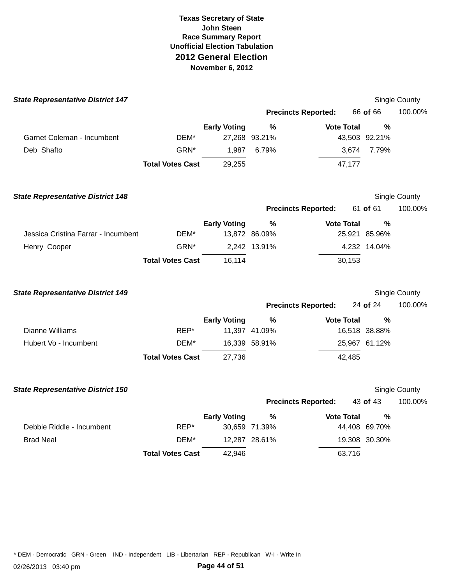| <b>State Representative District 147</b> |                         |                     |               |                            |               | Single County |
|------------------------------------------|-------------------------|---------------------|---------------|----------------------------|---------------|---------------|
|                                          |                         |                     |               | <b>Precincts Reported:</b> | 66 of 66      | 100.00%       |
|                                          |                         | <b>Early Voting</b> | %             | <b>Vote Total</b>          | %             |               |
| Garnet Coleman - Incumbent               | DEM*                    |                     | 27,268 93.21% |                            | 43,503 92.21% |               |
| Deb Shafto                               | GRN*                    | 1,987               | 6.79%         | 3,674                      | 7.79%         |               |
|                                          | <b>Total Votes Cast</b> | 29,255              |               | 47,177                     |               |               |
| <b>State Representative District 148</b> |                         |                     |               |                            |               | Single County |
|                                          |                         |                     |               | <b>Precincts Reported:</b> | 61 of 61      | 100.00%       |
|                                          |                         | <b>Early Voting</b> | $\%$          | <b>Vote Total</b>          | %             |               |
| Jessica Cristina Farrar - Incumbent      | DEM*                    |                     | 13,872 86.09% |                            | 25,921 85.96% |               |
| Henry Cooper                             | GRN*                    |                     | 2,242 13.91%  |                            | 4,232 14.04%  |               |
|                                          | <b>Total Votes Cast</b> | 16,114              |               | 30,153                     |               |               |
| <b>State Representative District 149</b> |                         |                     |               |                            |               | Single County |
|                                          |                         |                     |               | <b>Precincts Reported:</b> | 24 of 24      | 100.00%       |
|                                          |                         | <b>Early Voting</b> | %             | <b>Vote Total</b>          | $\%$          |               |
| Dianne Williams                          | REP*                    |                     | 11,397 41.09% |                            | 16,518 38.88% |               |
| Hubert Vo - Incumbent                    | DEM*                    |                     | 16,339 58.91% |                            | 25,967 61.12% |               |
|                                          | <b>Total Votes Cast</b> | 27,736              |               | 42,485                     |               |               |
| <b>State Representative District 150</b> |                         |                     |               |                            |               | Single County |
|                                          |                         |                     |               | <b>Precincts Reported:</b> | 43 of 43      | 100.00%       |
|                                          |                         | <b>Early Voting</b> | %             | <b>Vote Total</b>          | $\frac{0}{0}$ |               |
| Debbie Riddle - Incumbent                | REP*                    |                     | 30,659 71.39% |                            | 44,408 69.70% |               |
| <b>Brad Neal</b>                         | DEM*                    |                     | 12,287 28.61% |                            | 19,308 30.30% |               |
|                                          | <b>Total Votes Cast</b> | 42,946              |               | 63,716                     |               |               |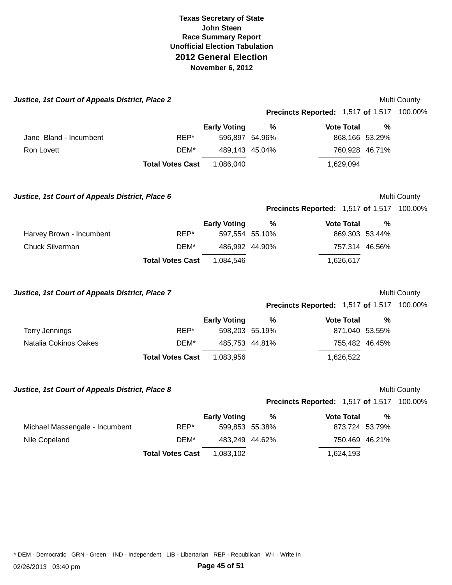| Justice, 1st Court of Appeals District, Place 2 |                         |                     |               |                                                   |                | Multi County |
|-------------------------------------------------|-------------------------|---------------------|---------------|---------------------------------------------------|----------------|--------------|
|                                                 |                         |                     |               | <b>Precincts Reported: 1,517 of 1,517 100.00%</b> |                |              |
|                                                 |                         | <b>Early Voting</b> | $\frac{9}{6}$ | <b>Vote Total</b>                                 | %              |              |
| Jane Bland - Incumbent                          | REP*                    | 596,897 54.96%      |               |                                                   | 868,166 53.29% |              |
| <b>Ron Lovett</b>                               | DEM*                    | 489,143 45.04%      |               |                                                   | 760,928 46.71% |              |
|                                                 | <b>Total Votes Cast</b> | 1,086,040           |               | 1,629,094                                         |                |              |
| Justice, 1st Court of Appeals District, Place 6 |                         |                     |               |                                                   |                | Multi County |
|                                                 |                         |                     |               | <b>Precincts Reported: 1,517 of 1,517 100.00%</b> |                |              |
|                                                 |                         | <b>Early Voting</b> | $\frac{0}{0}$ | <b>Vote Total</b>                                 | $\frac{0}{0}$  |              |
| Harvey Brown - Incumbent                        | REP*                    | 597,554 55.10%      |               |                                                   | 869,303 53.44% |              |
| <b>Chuck Silverman</b>                          | DEM*                    | 486,992 44.90%      |               |                                                   | 757,314 46.56% |              |
|                                                 | <b>Total Votes Cast</b> | 1,084,546           |               | 1,626,617                                         |                |              |
| Justice, 1st Court of Appeals District, Place 7 |                         |                     |               |                                                   |                | Multi County |
|                                                 |                         |                     |               | <b>Precincts Reported: 1,517 of 1,517 100.00%</b> |                |              |
|                                                 |                         | <b>Early Voting</b> | $\frac{9}{6}$ | <b>Vote Total</b>                                 | %              |              |
| <b>Terry Jennings</b>                           | REP*                    | 598,203 55.19%      |               |                                                   | 871,040 53.55% |              |
| Natalia Cokinos Oakes                           | DEM*                    | 485,753 44.81%      |               |                                                   | 755,482 46.45% |              |
|                                                 | <b>Total Votes Cast</b> | 1,083,956           |               | 1,626,522                                         |                |              |
| Justice, 1st Court of Appeals District, Place 8 |                         |                     |               |                                                   |                | Multi County |
|                                                 |                         |                     |               | <b>Precincts Reported: 1,517 of 1,517 100.00%</b> |                |              |
|                                                 |                         | <b>Early Voting</b> | $\%$          | <b>Vote Total</b>                                 | %              |              |
| Michael Massengale - Incumbent                  | REP*                    | 599,853 55.38%      |               |                                                   | 873,724 53.79% |              |
| Nile Copeland                                   | DEM*                    | 483,249 44.62%      |               |                                                   | 750,469 46.21% |              |
|                                                 | <b>Total Votes Cast</b> | 1,083,102           |               | 1,624,193                                         |                |              |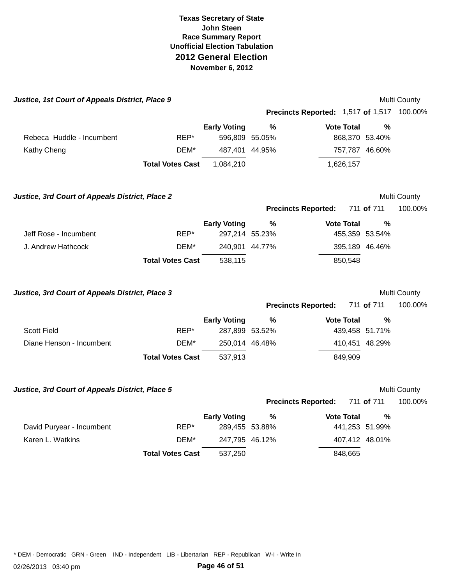| Justice, 1st Court of Appeals District, Place 9 |                         |                     |   |                                                   |                | Multi County |
|-------------------------------------------------|-------------------------|---------------------|---|---------------------------------------------------|----------------|--------------|
|                                                 |                         |                     |   | <b>Precincts Reported: 1,517 of 1,517 100.00%</b> |                |              |
|                                                 |                         | <b>Early Voting</b> | % | <b>Vote Total</b>                                 | %              |              |
| Rebeca Huddle - Incumbent                       | REP*                    | 596,809 55.05%      |   |                                                   | 868,370 53.40% |              |
| Kathy Cheng                                     | DEM*                    | 487,401 44.95%      |   |                                                   | 757,787 46.60% |              |
|                                                 | <b>Total Votes Cast</b> | 1,084,210           |   | 1,626,157                                         |                |              |
| Justice, 3rd Court of Appeals District, Place 2 |                         |                     |   |                                                   |                | Multi County |
|                                                 |                         |                     |   | <b>Precincts Reported:</b>                        | 711 of 711     | 100.00%      |
|                                                 |                         | <b>Early Voting</b> | % | <b>Vote Total</b>                                 | %              |              |
| Jeff Rose - Incumbent                           | REP*                    | 297,214 55.23%      |   |                                                   | 455,359 53.54% |              |
| J. Andrew Hathcock                              | DEM*                    | 240,901 44.77%      |   |                                                   | 395,189 46.46% |              |
|                                                 | <b>Total Votes Cast</b> | 538,115             |   | 850,548                                           |                |              |
| Justice, 3rd Court of Appeals District, Place 3 |                         |                     |   |                                                   |                | Multi County |
|                                                 |                         |                     |   | <b>Precincts Reported:</b>                        | 711 of 711     | 100.00%      |
|                                                 |                         | <b>Early Voting</b> | % | <b>Vote Total</b>                                 | $\frac{0}{0}$  |              |
| <b>Scott Field</b>                              | $REP^*$                 | 287,899 53.52%      |   |                                                   | 439,458 51.71% |              |
| Diane Henson - Incumbent                        | DEM*                    | 250,014 46.48%      |   |                                                   | 410,451 48.29% |              |
|                                                 | <b>Total Votes Cast</b> | 537,913             |   | 849,909                                           |                |              |
| Justice, 3rd Court of Appeals District, Place 5 |                         |                     |   |                                                   |                | Multi County |
|                                                 |                         |                     |   | <b>Precincts Reported:</b>                        | 711 of 711     | 100.00%      |
|                                                 |                         | <b>Early Voting</b> | ℅ | <b>Vote Total</b>                                 | %              |              |
| David Puryear - Incumbent                       | REP*                    | 289,455 53.88%      |   |                                                   | 441,253 51.99% |              |
| Karen L. Watkins                                | DEM*                    | 247,795 46.12%      |   |                                                   | 407,412 48.01% |              |
|                                                 | <b>Total Votes Cast</b> | 537,250             |   | 848,665                                           |                |              |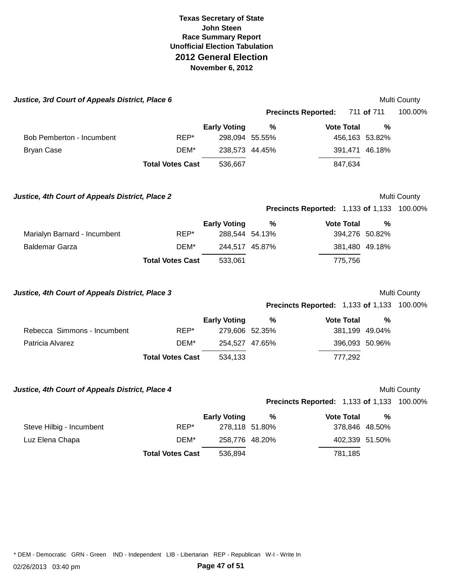| Justice, 3rd Court of Appeals District, Place 6 |                         |                     |               |                                                   |                | Multi County |
|-------------------------------------------------|-------------------------|---------------------|---------------|---------------------------------------------------|----------------|--------------|
|                                                 |                         |                     |               | <b>Precincts Reported:</b>                        | 711 of 711     | 100.00%      |
|                                                 |                         | <b>Early Voting</b> | $\frac{0}{0}$ | <b>Vote Total</b>                                 | $\frac{0}{0}$  |              |
| Bob Pemberton - Incumbent                       | REP*                    | 298,094 55.55%      |               |                                                   | 456,163 53.82% |              |
| <b>Bryan Case</b>                               | DEM*                    | 238,573 44.45%      |               |                                                   | 391,471 46.18% |              |
|                                                 | <b>Total Votes Cast</b> | 536,667             |               | 847,634                                           |                |              |
| Justice, 4th Court of Appeals District, Place 2 |                         |                     |               |                                                   |                | Multi County |
|                                                 |                         |                     |               | Precincts Reported: 1,133 of 1,133 100.00%        |                |              |
|                                                 |                         | <b>Early Voting</b> | $\frac{0}{0}$ | <b>Vote Total</b>                                 | $\%$           |              |
| Marialyn Barnard - Incumbent                    | REP*                    | 288,544 54.13%      |               |                                                   | 394,276 50.82% |              |
| <b>Baldemar Garza</b>                           | DEM*                    | 244,517 45.87%      |               |                                                   | 381,480 49.18% |              |
|                                                 | <b>Total Votes Cast</b> | 533,061             |               | 775,756                                           |                |              |
| Justice, 4th Court of Appeals District, Place 3 |                         |                     |               |                                                   |                | Multi County |
|                                                 |                         |                     |               | <b>Precincts Reported: 1,133 of 1,133 100.00%</b> |                |              |
|                                                 |                         | <b>Early Voting</b> | ℅             | <b>Vote Total</b>                                 | %              |              |
| Rebecca Simmons - Incumbent                     | REP*                    | 279,606 52.35%      |               |                                                   | 381,199 49.04% |              |
| Patricia Alvarez                                | DEM*                    | 254,527 47.65%      |               |                                                   | 396,093 50.96% |              |
|                                                 | <b>Total Votes Cast</b> | 534,133             |               | 777,292                                           |                |              |
| Justice, 4th Court of Appeals District, Place 4 |                         |                     |               |                                                   |                | Multi County |
|                                                 |                         |                     |               | <b>Precincts Reported: 1,133 of 1,133 100.00%</b> |                |              |
|                                                 |                         | <b>Early Voting</b> | $\%$          | <b>Vote Total</b>                                 | $\frac{0}{0}$  |              |
| Steve Hilbig - Incumbent                        | REP*                    | 278,118 51.80%      |               |                                                   | 378,846 48.50% |              |
| Luz Elena Chapa                                 | DEM*                    | 258,776 48.20%      |               |                                                   | 402,339 51.50% |              |
|                                                 | <b>Total Votes Cast</b> | 536,894             |               | 781,185                                           |                |              |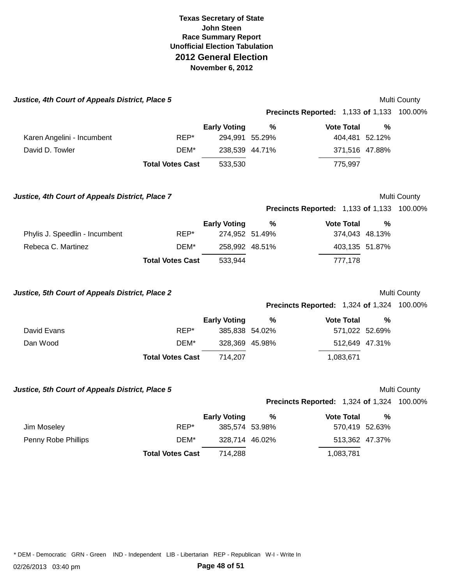| Justice, 4th Court of Appeals District, Place 5 |                         |                     |               |                                                   |               | Multi County |
|-------------------------------------------------|-------------------------|---------------------|---------------|---------------------------------------------------|---------------|--------------|
|                                                 |                         |                     |               | <b>Precincts Reported: 1,133 of 1,133 100.00%</b> |               |              |
|                                                 |                         | <b>Early Voting</b> | $\frac{9}{6}$ | <b>Vote Total</b>                                 | %             |              |
| Karen Angelini - Incumbent                      | REP*                    | 294,991 55.29%      |               | 404,481 52.12%                                    |               |              |
| David D. Towler                                 | DEM*                    | 238,539 44.71%      |               | 371,516 47.88%                                    |               |              |
|                                                 | <b>Total Votes Cast</b> | 533,530             |               | 775,997                                           |               |              |
| Justice, 4th Court of Appeals District, Place 7 |                         |                     |               |                                                   |               | Multi County |
|                                                 |                         |                     |               | Precincts Reported: 1,133 of 1,133 100.00%        |               |              |
|                                                 |                         | <b>Early Voting</b> | %             | <b>Vote Total</b>                                 | $\frac{0}{0}$ |              |
| Phylis J. Speedlin - Incumbent                  | REP*                    | 274,952 51.49%      |               | 374,043 48.13%                                    |               |              |
| Rebeca C. Martinez                              | DEM*                    | 258,992 48.51%      |               | 403,135 51.87%                                    |               |              |
|                                                 | <b>Total Votes Cast</b> | 533,944             |               | 777,178                                           |               |              |
| Justice, 5th Court of Appeals District, Place 2 |                         |                     |               |                                                   |               | Multi County |
|                                                 |                         |                     |               | <b>Precincts Reported: 1,324 of 1,324 100.00%</b> |               |              |
|                                                 |                         | <b>Early Voting</b> | ℅             | <b>Vote Total</b>                                 | %             |              |
| David Evans                                     | REP*                    | 385,838 54.02%      |               | 571,022 52.69%                                    |               |              |
| Dan Wood                                        | DEM*                    | 328,369 45.98%      |               | 512,649 47.31%                                    |               |              |
|                                                 | <b>Total Votes Cast</b> | 714,207             |               | 1,083,671                                         |               |              |
| Justice, 5th Court of Appeals District, Place 5 |                         |                     |               |                                                   |               | Multi County |
|                                                 |                         |                     |               | Precincts Reported: 1,324 of 1,324 100.00%        |               |              |
|                                                 |                         | <b>Early Voting</b> | $\frac{9}{6}$ | <b>Vote Total</b>                                 | %             |              |
| Jim Moseley                                     | REP*                    | 385,574 53.98%      |               | 570,419 52.63%                                    |               |              |
| Penny Robe Phillips                             | DEM*                    | 328,714 46.02%      |               | 513,362 47.37%                                    |               |              |
|                                                 | <b>Total Votes Cast</b> | 714,288             |               | 1,083,781                                         |               |              |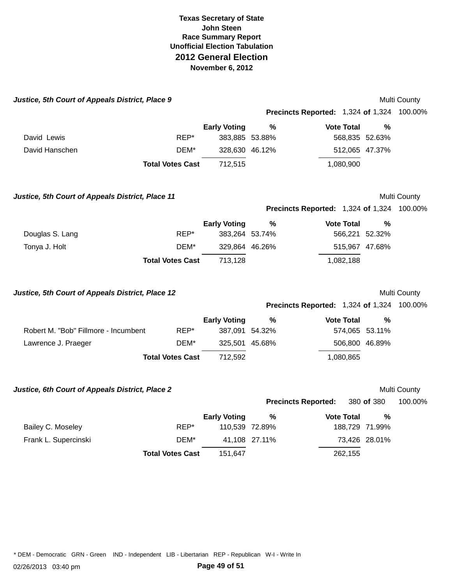| Justice, 5th Court of Appeals District, Place 9  |                         |                     |               |                                                   |                | Multi County        |
|--------------------------------------------------|-------------------------|---------------------|---------------|---------------------------------------------------|----------------|---------------------|
|                                                  |                         |                     |               | <b>Precincts Reported: 1,324 of 1,324 100.00%</b> |                |                     |
|                                                  |                         | <b>Early Voting</b> | $\frac{0}{0}$ | <b>Vote Total</b>                                 | %              |                     |
| David Lewis                                      | REP*                    | 383,885 53.88%      |               |                                                   | 568,835 52.63% |                     |
| David Hanschen                                   | DEM*                    | 328,630 46.12%      |               |                                                   | 512,065 47.37% |                     |
|                                                  | <b>Total Votes Cast</b> | 712,515             |               | 1,080,900                                         |                |                     |
| Justice, 5th Court of Appeals District, Place 11 |                         |                     |               |                                                   |                | <b>Multi County</b> |
|                                                  |                         |                     |               | <b>Precincts Reported: 1,324 of 1,324 100.00%</b> |                |                     |
|                                                  |                         | <b>Early Voting</b> | %             | <b>Vote Total</b>                                 | %              |                     |
| Douglas S. Lang                                  | REP*                    | 383,264 53.74%      |               |                                                   | 566,221 52.32% |                     |
| Tonya J. Holt                                    | DEM*                    | 329,864 46.26%      |               |                                                   | 515,967 47.68% |                     |
|                                                  | <b>Total Votes Cast</b> | 713,128             |               | 1,082,188                                         |                |                     |
| Justice, 5th Court of Appeals District, Place 12 |                         |                     |               |                                                   |                | Multi County        |
|                                                  |                         |                     |               | <b>Precincts Reported: 1,324 of 1,324 100.00%</b> |                |                     |
|                                                  |                         | <b>Early Voting</b> | %             | <b>Vote Total</b>                                 | %              |                     |
| Robert M. "Bob" Fillmore - Incumbent             | REP*                    | 387,091 54.32%      |               |                                                   | 574,065 53.11% |                     |
| Lawrence J. Praeger                              | DEM*                    | 325,501 45.68%      |               |                                                   | 506,800 46.89% |                     |
|                                                  | <b>Total Votes Cast</b> | 712,592             |               | 1,080,865                                         |                |                     |
| Justice, 6th Court of Appeals District, Place 2  |                         |                     |               |                                                   |                | Multi County        |
|                                                  |                         |                     |               | <b>Precincts Reported:</b>                        | 380 of 380     | 100.00%             |
|                                                  |                         | <b>Early Voting</b> | $\frac{9}{6}$ | <b>Vote Total</b>                                 | %              |                     |
| Bailey C. Moseley                                | REP*                    | 110,539 72.89%      |               |                                                   | 188,729 71.99% |                     |
| Frank L. Supercinski                             | DEM*                    |                     | 41,108 27.11% |                                                   | 73,426 28.01%  |                     |
|                                                  | <b>Total Votes Cast</b> | 151,647             |               | 262,155                                           |                |                     |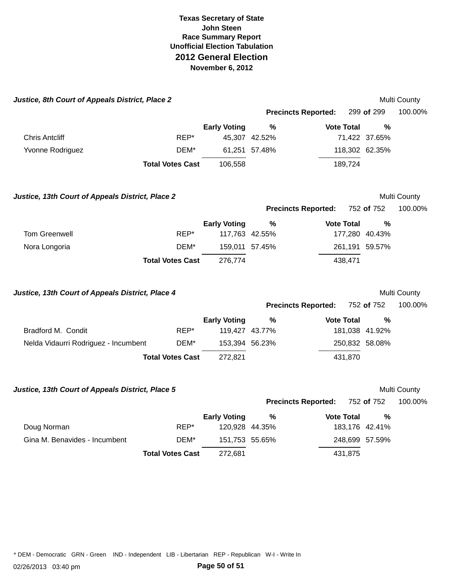| Justice, 8th Court of Appeals District, Place 2  |                         |                     |                     |                            |                     | Multi County            |
|--------------------------------------------------|-------------------------|---------------------|---------------------|----------------------------|---------------------|-------------------------|
|                                                  |                         |                     |                     | <b>Precincts Reported:</b> | 299 of 299          | 100.00%                 |
|                                                  |                         | <b>Early Voting</b> | %                   | <b>Vote Total</b>          | $\frac{0}{0}$       |                         |
| <b>Chris Antcliff</b>                            | REP*                    |                     | 45,307 42.52%       |                            | 71,422 37.65%       |                         |
| Yvonne Rodriguez                                 | DEM*                    |                     | 61,251 57.48%       |                            | 118,302 62.35%      |                         |
|                                                  | <b>Total Votes Cast</b> | 106,558             |                     | 189,724                    |                     |                         |
| Justice, 13th Court of Appeals District, Place 2 |                         |                     |                     |                            |                     | Multi County            |
|                                                  |                         |                     |                     | <b>Precincts Reported:</b> | 752 of 752          | 100.00%                 |
|                                                  |                         | <b>Early Voting</b> | %                   | <b>Vote Total</b>          | $\frac{0}{0}$       |                         |
| <b>Tom Greenwell</b>                             | REP*                    |                     | 117,763 42.55%      |                            | 177,280 40.43%      |                         |
| Nora Longoria                                    | DEM*                    |                     | 159,011 57.45%      |                            | 261,191 59.57%      |                         |
|                                                  | <b>Total Votes Cast</b> | 276,774             |                     | 438,471                    |                     |                         |
| Justice, 13th Court of Appeals District, Place 4 |                         |                     |                     |                            |                     | Multi County            |
|                                                  |                         |                     |                     | <b>Precincts Reported:</b> | 752 of 752          | 100.00%                 |
|                                                  |                         | <b>Early Voting</b> | $\frac{9}{6}$       | <b>Vote Total</b>          | %                   |                         |
| Bradford M. Condit                               | REP*                    |                     | 119,427 43.77%      |                            | 181,038 41.92%      |                         |
| Nelda Vidaurri Rodriguez - Incumbent             | DEM*                    | 153,394 56.23%      |                     |                            | 250,832 58.08%      |                         |
|                                                  | <b>Total Votes Cast</b> | 272,821             |                     | 431,870                    |                     |                         |
|                                                  |                         |                     |                     |                            |                     |                         |
| Justice, 13th Court of Appeals District, Place 5 |                         |                     |                     | <b>Precincts Reported:</b> | 752 of 752          | Multi County<br>100.00% |
|                                                  |                         |                     |                     |                            |                     |                         |
| Doug Norman                                      |                         | <b>Early Voting</b> | %<br>120,928 44.35% | <b>Vote Total</b>          | %<br>183,176 42.41% |                         |
|                                                  |                         |                     |                     |                            |                     |                         |
| Gina M. Benavides - Incumbent                    | REP*<br>DEM*            | 151,753 55.65%      |                     |                            | 248,699 57.59%      |                         |